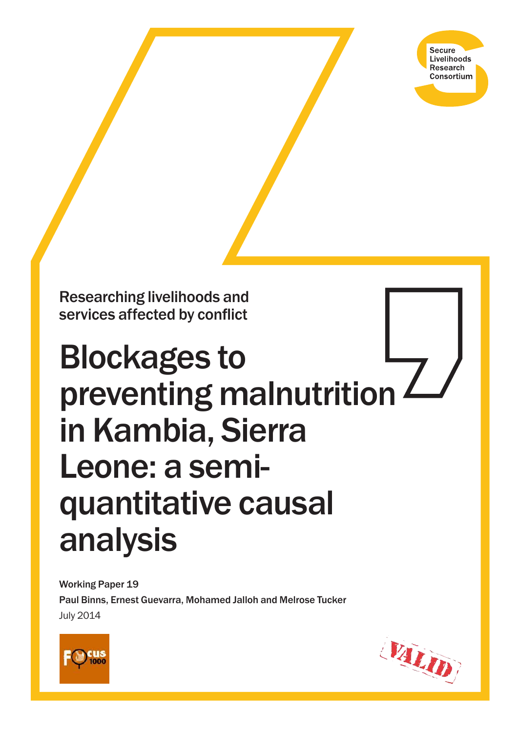**Secure** Livelihoods Research Consortium

Researching livelihoods and services affected by conflict

# Blockages to preventing malnutrition  $\angle$ in Kambia, Sierra Leone: a semiquantitative causal analysis

Working Paper 19 Paul Binns, Ernest Guevarra, Mohamed Jalloh and Melrose Tucker July 2014



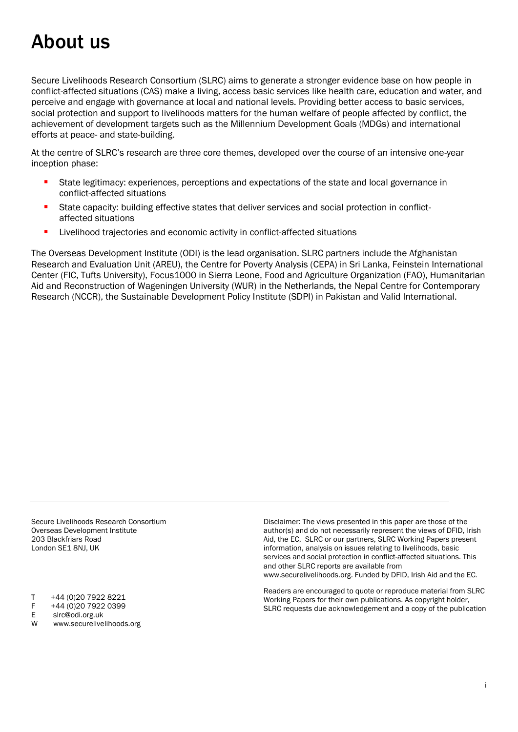# <span id="page-1-0"></span>About us

Secure Livelihoods Research Consortium (SLRC) aims to generate a stronger evidence base on how people in conflict-affected situations (CAS) make a living, access basic services like health care, education and water, and perceive and engage with governance at local and national levels. Providing better access to basic services, social protection and support to livelihoods matters for the human welfare of people affected by conflict, the achievement of development targets such as the Millennium Development Goals (MDGs) and international efforts at peace- and state-building.

At the centre of SLRC's research are three core themes, developed over the course of an intensive one-year inception phase:

- State legitimacy: experiences, perceptions and expectations of the state and local governance in conflict-affected situations
- State capacity: building effective states that deliver services and social protection in conflictaffected situations
- Livelihood trajectories and economic activity in conflict-affected situations

The Overseas Development Institute (ODI) is the lead organisation. SLRC partners include the Afghanistan Research and Evaluation Unit (AREU), the Centre for Poverty Analysis (CEPA) in Sri Lanka, Feinstein International Center (FIC, Tufts University), Focus1000 in Sierra Leone, Food and Agriculture Organization (FAO), Humanitarian Aid and Reconstruction of Wageningen University (WUR) in the Netherlands, the Nepal Centre for Contemporary Research (NCCR), the Sustainable Development Policy Institute (SDPI) in Pakistan and Valid International.

Secure Livelihoods Research Consortium Overseas Development Institute 203 Blackfriars Road London SE1 8NJ, UK

- T +44 (0)20 7922 8221
- F +44 (0)20 7922 0399
- E slrc@odi.org.uk
- W www.securelivelihoods.org

Disclaimer: The views presented in this paper are those of the author(s) and do not necessarily represent the views of DFID, Irish Aid, the EC, SLRC or our partners, SLRC Working Papers present information, analysis on issues relating to livelihoods, basic services and social protection in conflict-affected situations. This and other SLRC reports are available from www.securelivelihoods.org. Funded by DFID, Irish Aid and the EC.

Readers are encouraged to quote or reproduce material from SLRC Working Papers for their own publications. As copyright holder, SLRC requests due acknowledgement and a copy of the publication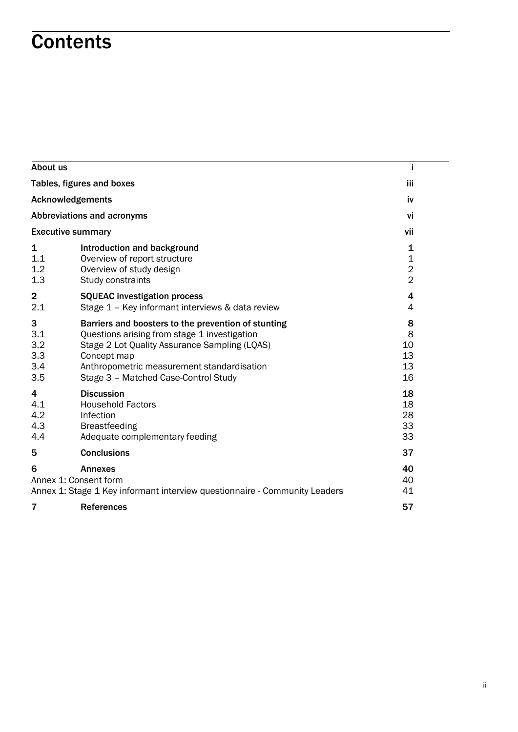# **Contents**

| About us                             |                                                                                                                                                                                                                                                           |                                                               |  |  |  |
|--------------------------------------|-----------------------------------------------------------------------------------------------------------------------------------------------------------------------------------------------------------------------------------------------------------|---------------------------------------------------------------|--|--|--|
| Tables, figures and boxes            |                                                                                                                                                                                                                                                           |                                                               |  |  |  |
|                                      | <b>Acknowledgements</b>                                                                                                                                                                                                                                   |                                                               |  |  |  |
|                                      | Abbreviations and acronyms                                                                                                                                                                                                                                | vi                                                            |  |  |  |
|                                      | <b>Executive summary</b>                                                                                                                                                                                                                                  | vii                                                           |  |  |  |
| 1<br>1.1<br>1.2<br>1.3               | Introduction and background<br>Overview of report structure<br>Overview of study design<br>Study constraints                                                                                                                                              | 1<br>$\mathbf 1$<br>$\overline{\mathbf{c}}$<br>$\overline{2}$ |  |  |  |
| $\overline{\mathbf{2}}$<br>2.1       | <b>SQUEAC</b> investigation process<br>Stage 1 - Key informant interviews & data review                                                                                                                                                                   | 4<br>4                                                        |  |  |  |
| 3<br>3.1<br>3.2<br>3.3<br>3.4<br>3.5 | Barriers and boosters to the prevention of stunting<br>Questions arising from stage 1 investigation<br>Stage 2 Lot Quality Assurance Sampling (LQAS)<br>Concept map<br>Anthropometric measurement standardisation<br>Stage 3 - Matched Case-Control Study | 8<br>8<br>10<br>13<br>13<br>16                                |  |  |  |
| 4<br>4.1<br>4.2<br>4.3<br>4.4        | <b>Discussion</b><br><b>Household Factors</b><br>Infection<br><b>Breastfeeding</b><br>Adequate complementary feeding                                                                                                                                      | 18<br>18<br>28<br>33<br>33                                    |  |  |  |
| 5                                    | <b>Conclusions</b>                                                                                                                                                                                                                                        | 37                                                            |  |  |  |
| 6                                    | <b>Annexes</b><br>Annex 1: Consent form<br>Annex 1: Stage 1 Key informant interview questionnaire - Community Leaders                                                                                                                                     | 40<br>40<br>41                                                |  |  |  |
| 7                                    | <b>References</b>                                                                                                                                                                                                                                         | 57                                                            |  |  |  |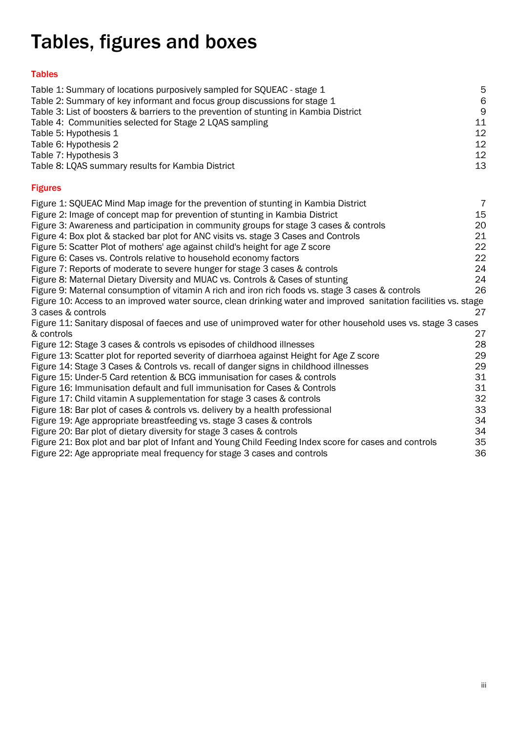# <span id="page-3-0"></span>Tables, figures and boxes

# Tables

| Table 1: Summary of locations purposively sampled for SQUEAC - stage 1<br>Table 2: Summary of key informant and focus group discussions for stage 1<br>Table 3: List of boosters & barriers to the prevention of stunting in Kambia District<br>Table 4: Communities selected for Stage 2 LQAS sampling<br>Table 5: Hypothesis 1<br>Table 6: Hypothesis 2<br>Table 7: Hypothesis 3<br>Table 8: LQAS summary results for Kambia District | 5<br>6<br>9<br>11<br>12<br>12<br>12<br>13 |
|-----------------------------------------------------------------------------------------------------------------------------------------------------------------------------------------------------------------------------------------------------------------------------------------------------------------------------------------------------------------------------------------------------------------------------------------|-------------------------------------------|
| <b>Figures</b>                                                                                                                                                                                                                                                                                                                                                                                                                          |                                           |
| Figure 1: SQUEAC Mind Map image for the prevention of stunting in Kambia District                                                                                                                                                                                                                                                                                                                                                       | $\overline{7}$                            |
| Figure 2: Image of concept map for prevention of stunting in Kambia District                                                                                                                                                                                                                                                                                                                                                            | 15                                        |
| Figure 3: Awareness and participation in community groups for stage 3 cases & controls                                                                                                                                                                                                                                                                                                                                                  | 20                                        |
| Figure 4: Box plot & stacked bar plot for ANC visits vs. stage 3 Cases and Controls                                                                                                                                                                                                                                                                                                                                                     | 21                                        |
| Figure 5: Scatter Plot of mothers' age against child's height for age Z score                                                                                                                                                                                                                                                                                                                                                           | 22                                        |
| Figure 6: Cases vs. Controls relative to household economy factors                                                                                                                                                                                                                                                                                                                                                                      | 22                                        |
| Figure 7: Reports of moderate to severe hunger for stage 3 cases & controls                                                                                                                                                                                                                                                                                                                                                             | 24                                        |
| Figure 8: Maternal Dietary Diversity and MUAC vs. Controls & Cases of stunting                                                                                                                                                                                                                                                                                                                                                          | 24                                        |
| Figure 9: Maternal consumption of vitamin A rich and iron rich foods vs. stage 3 cases & controls                                                                                                                                                                                                                                                                                                                                       | 26                                        |
| Figure 10: Access to an improved water source, clean drinking water and improved sanitation facilities vs. stage                                                                                                                                                                                                                                                                                                                        |                                           |
| 3 cases & controls                                                                                                                                                                                                                                                                                                                                                                                                                      | 27                                        |
| Figure 11: Sanitary disposal of faeces and use of unimproved water for other household uses vs. stage 3 cases                                                                                                                                                                                                                                                                                                                           |                                           |
| & controls                                                                                                                                                                                                                                                                                                                                                                                                                              | 27                                        |
| Figure 12: Stage 3 cases & controls vs episodes of childhood illnesses                                                                                                                                                                                                                                                                                                                                                                  | 28                                        |
| Figure 13: Scatter plot for reported severity of diarrhoea against Height for Age Z score                                                                                                                                                                                                                                                                                                                                               | 29                                        |
| Figure 14: Stage 3 Cases & Controls vs. recall of danger signs in childhood illnesses                                                                                                                                                                                                                                                                                                                                                   | 29                                        |
| Figure 15: Under-5 Card retention & BCG immunisation for cases & controls                                                                                                                                                                                                                                                                                                                                                               | 31                                        |
| Figure 16: Immunisation default and full immunisation for Cases & Controls                                                                                                                                                                                                                                                                                                                                                              | 31                                        |
| Figure 17: Child vitamin A supplementation for stage 3 cases & controls                                                                                                                                                                                                                                                                                                                                                                 | 32                                        |
| Figure 18: Bar plot of cases & controls vs. delivery by a health professional                                                                                                                                                                                                                                                                                                                                                           | 33                                        |
| Figure 19: Age appropriate breastfeeding vs. stage 3 cases & controls                                                                                                                                                                                                                                                                                                                                                                   | 34                                        |
| Figure 20: Bar plot of dietary diversity for stage 3 cases & controls                                                                                                                                                                                                                                                                                                                                                                   | 34                                        |
| Figure 21: Box plot and bar plot of Infant and Young Child Feeding Index score for cases and controls                                                                                                                                                                                                                                                                                                                                   | 35                                        |
| Figure 22: Age appropriate meal frequency for stage 3 cases and controls                                                                                                                                                                                                                                                                                                                                                                | 36                                        |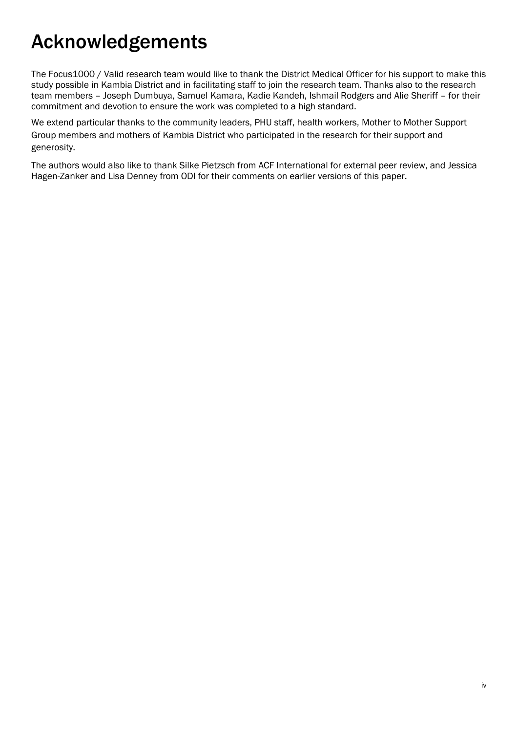# <span id="page-4-0"></span>Acknowledgements

The Focus1000 / Valid research team would like to thank the District Medical Officer for his support to make this study possible in Kambia District and in facilitating staff to join the research team. Thanks also to the research team members – Joseph Dumbuya, Samuel Kamara, Kadie Kandeh, Ishmail Rodgers and Alie Sheriff – for their commitment and devotion to ensure the work was completed to a high standard.

We extend particular thanks to the community leaders, PHU staff, health workers, Mother to Mother Support Group members and mothers of Kambia District who participated in the research for their support and generosity.

The authors would also like to thank Silke Pietzsch from ACF International for external peer review, and Jessica Hagen-Zanker and Lisa Denney from ODI for their comments on earlier versions of this paper.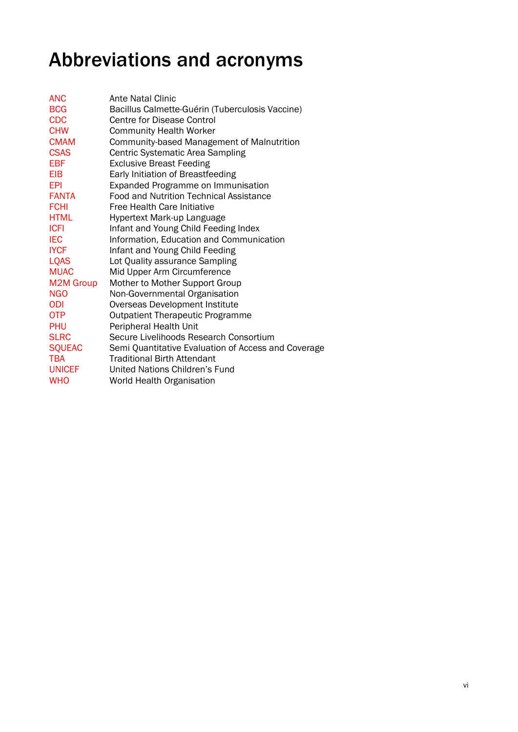# <span id="page-5-0"></span>Abbreviations and acronyms

| <b>ANC</b>       | Ante Natal Clinic                                   |
|------------------|-----------------------------------------------------|
| <b>BCG</b>       | Bacillus Calmette-Guérin (Tuberculosis Vaccine)     |
| <b>CDC</b>       | <b>Centre for Disease Control</b>                   |
| <b>CHW</b>       | <b>Community Health Worker</b>                      |
| <b>CMAM</b>      | Community-based Management of Malnutrition          |
| <b>CSAS</b>      | Centric Systematic Area Sampling                    |
| <b>EBF</b>       | <b>Exclusive Breast Feeding</b>                     |
| <b>EIB</b>       | Early Initiation of Breastfeeding                   |
| EPI              | Expanded Programme on Immunisation                  |
| <b>FANTA</b>     | <b>Food and Nutrition Technical Assistance</b>      |
| <b>FCHI</b>      | <b>Free Health Care Initiative</b>                  |
| <b>HTML</b>      | Hypertext Mark-up Language                          |
| <b>ICFI</b>      | Infant and Young Child Feeding Index                |
| <b>IEC</b>       | Information, Education and Communication            |
| <b>IYCF</b>      | Infant and Young Child Feeding                      |
| <b>LQAS</b>      | Lot Quality assurance Sampling                      |
| <b>MUAC</b>      | Mid Upper Arm Circumference                         |
| <b>M2M Group</b> | Mother to Mother Support Group                      |
| <b>NGO</b>       | Non-Governmental Organisation                       |
| <b>ODI</b>       | Overseas Development Institute                      |
| <b>OTP</b>       | <b>Outpatient Therapeutic Programme</b>             |
| <b>PHU</b>       | Peripheral Health Unit                              |
| <b>SLRC</b>      | Secure Livelihoods Research Consortium              |
| <b>SQUEAC</b>    | Semi Quantitative Evaluation of Access and Coverage |
| <b>TBA</b>       | <b>Traditional Birth Attendant</b>                  |
| <b>UNICEF</b>    | United Nations Children's Fund                      |
| <b>WHO</b>       | World Health Organisation                           |
|                  |                                                     |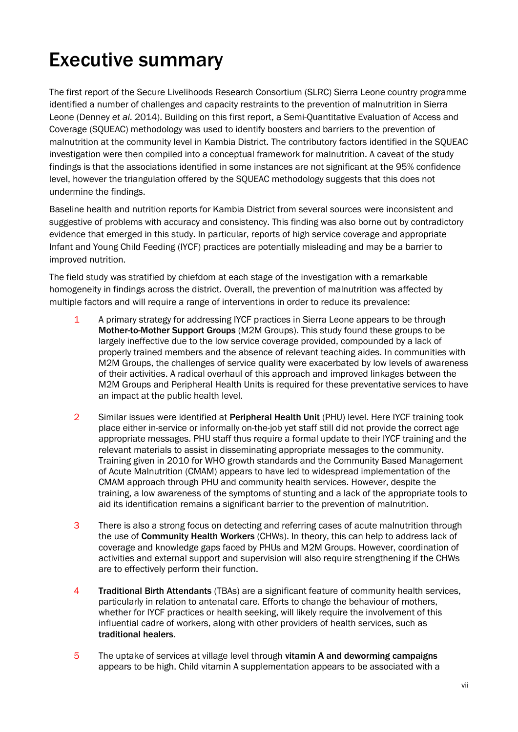# <span id="page-6-0"></span>Executive summary

The first report of the Secure Livelihoods Research Consortium (SLRC) Sierra Leone country programme identified a number of challenges and capacity restraints to the prevention of malnutrition in Sierra Leone (Denney *et al*. 2014). Building on this first report, a Semi-Quantitative Evaluation of Access and Coverage (SQUEAC) methodology was used to identify boosters and barriers to the prevention of malnutrition at the community level in Kambia District. The contributory factors identified in the SQUEAC investigation were then compiled into a conceptual framework for malnutrition. A caveat of the study findings is that the associations identified in some instances are not significant at the 95% confidence level, however the triangulation offered by the SQUEAC methodology suggests that this does not undermine the findings.

Baseline health and nutrition reports for Kambia District from several sources were inconsistent and suggestive of problems with accuracy and consistency. This finding was also borne out by contradictory evidence that emerged in this study. In particular, reports of high service coverage and appropriate Infant and Young Child Feeding (IYCF) practices are potentially misleading and may be a barrier to improved nutrition.

The field study was stratified by chiefdom at each stage of the investigation with a remarkable homogeneity in findings across the district. Overall, the prevention of malnutrition was affected by multiple factors and will require a range of interventions in order to reduce its prevalence:

- 1 A primary strategy for addressing IYCF practices in Sierra Leone appears to be through Mother-to-Mother Support Groups (M2M Groups). This study found these groups to be largely ineffective due to the low service coverage provided, compounded by a lack of properly trained members and the absence of relevant teaching aides. In communities with M2M Groups, the challenges of service quality were exacerbated by low levels of awareness of their activities. A radical overhaul of this approach and improved linkages between the M2M Groups and Peripheral Health Units is required for these preventative services to have an impact at the public health level.
- 2 Similar issues were identified at Peripheral Health Unit (PHU) level. Here IYCF training took place either in-service or informally on-the-job yet staff still did not provide the correct age appropriate messages. PHU staff thus require a formal update to their IYCF training and the relevant materials to assist in disseminating appropriate messages to the community. Training given in 2010 for WHO growth standards and the Community Based Management of Acute Malnutrition (CMAM) appears to have led to widespread implementation of the CMAM approach through PHU and community health services. However, despite the training, a low awareness of the symptoms of stunting and a lack of the appropriate tools to aid its identification remains a significant barrier to the prevention of malnutrition.
- 3 There is also a strong focus on detecting and referring cases of acute malnutrition through the use of Community Health Workers (CHWs). In theory, this can help to address lack of coverage and knowledge gaps faced by PHUs and M2M Groups. However, coordination of activities and external support and supervision will also require strengthening if the CHWs are to effectively perform their function.
- **4** Traditional Birth Attendants (TBAs) are a significant feature of community health services, particularly in relation to antenatal care. Efforts to change the behaviour of mothers, whether for IYCF practices or health seeking, will likely require the involvement of this influential cadre of workers, along with other providers of health services, such as traditional healers.
- 5 The uptake of services at village level through vitamin A and deworming campaigns appears to be high. Child vitamin A supplementation appears to be associated with a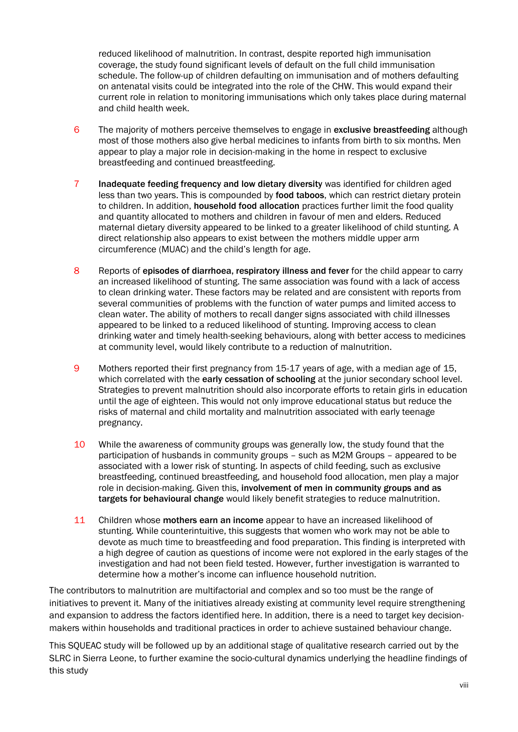reduced likelihood of malnutrition. In contrast, despite reported high immunisation coverage, the study found significant levels of default on the full child immunisation schedule. The follow-up of children defaulting on immunisation and of mothers defaulting on antenatal visits could be integrated into the role of the CHW. This would expand their current role in relation to monitoring immunisations which only takes place during maternal and child health week.

- 6 The majority of mothers perceive themselves to engage in exclusive breastfeeding although most of those mothers also give herbal medicines to infants from birth to six months. Men appear to play a major role in decision-making in the home in respect to exclusive breastfeeding and continued breastfeeding.
- 7 Inadequate feeding frequency and low dietary diversity was identified for children aged less than two years. This is compounded by food taboos, which can restrict dietary protein to children. In addition, **household food allocation** practices further limit the food quality and quantity allocated to mothers and children in favour of men and elders. Reduced maternal dietary diversity appeared to be linked to a greater likelihood of child stunting. A direct relationship also appears to exist between the mothers middle upper arm circumference (MUAC) and the child's length for age.
- 8 Reports of episodes of diarrhoea, respiratory illness and fever for the child appear to carry an increased likelihood of stunting. The same association was found with a lack of access to clean drinking water. These factors may be related and are consistent with reports from several communities of problems with the function of water pumps and limited access to clean water. The ability of mothers to recall danger signs associated with child illnesses appeared to be linked to a reduced likelihood of stunting. Improving access to clean drinking water and timely health-seeking behaviours, along with better access to medicines at community level, would likely contribute to a reduction of malnutrition.
- 9 Mothers reported their first pregnancy from 15-17 years of age, with a median age of 15, which correlated with the early cessation of schooling at the junior secondary school level. Strategies to prevent malnutrition should also incorporate efforts to retain girls in education until the age of eighteen. This would not only improve educational status but reduce the risks of maternal and child mortality and malnutrition associated with early teenage pregnancy.
- 10 While the awareness of community groups was generally low, the study found that the participation of husbands in community groups – such as M2M Groups – appeared to be associated with a lower risk of stunting. In aspects of child feeding, such as exclusive breastfeeding, continued breastfeeding, and household food allocation, men play a major role in decision-making. Given this, involvement of men in community groups and as targets for behavioural change would likely benefit strategies to reduce malnutrition.
- 11 Children whose mothers earn an income appear to have an increased likelihood of stunting. While counterintuitive, this suggests that women who work may not be able to devote as much time to breastfeeding and food preparation. This finding is interpreted with a high degree of caution as questions of income were not explored in the early stages of the investigation and had not been field tested. However, further investigation is warranted to determine how a mother's income can influence household nutrition.

The contributors to malnutrition are multifactorial and complex and so too must be the range of initiatives to prevent it. Many of the initiatives already existing at community level require strengthening and expansion to address the factors identified here. In addition, there is a need to target key decisionmakers within households and traditional practices in order to achieve sustained behaviour change.

This SQUEAC study will be followed up by an additional stage of qualitative research carried out by the SLRC in Sierra Leone, to further examine the socio-cultural dynamics underlying the headline findings of this study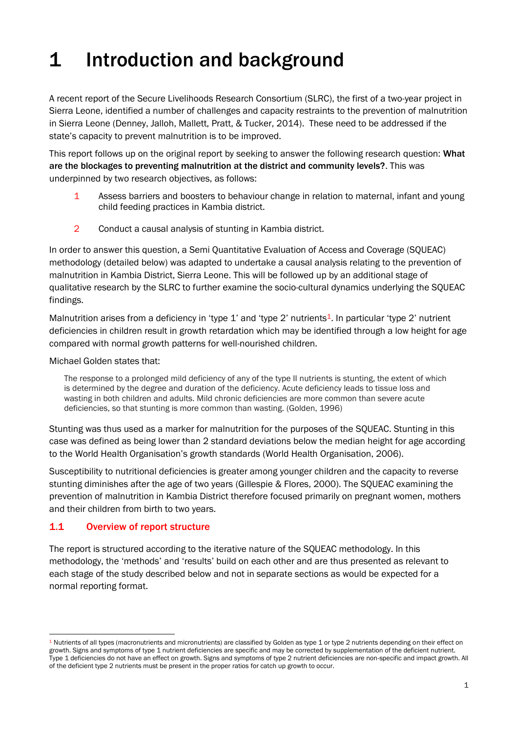# <span id="page-8-0"></span>1 Introduction and background

A recent report of the Secure Livelihoods Research Consortium (SLRC), the first of a two-year project in Sierra Leone, identified a number of challenges and capacity restraints to the prevention of malnutrition in Sierra Leone (Denney, Jalloh, Mallett, Pratt, & Tucker, 2014). These need to be addressed if the state's capacity to prevent malnutrition is to be improved.

This report follows up on the original report by seeking to answer the following research question: What are the blockages to preventing malnutrition at the district and community levels?. This was underpinned by two research objectives, as follows:

- 1 Assess barriers and boosters to behaviour change in relation to maternal, infant and young child feeding practices in Kambia district.
- 2 Conduct a causal analysis of stunting in Kambia district.

In order to answer this question, a Semi Quantitative Evaluation of Access and Coverage (SQUEAC) methodology (detailed below) was adapted to undertake a causal analysis relating to the prevention of malnutrition in Kambia District, Sierra Leone. This will be followed up by an additional stage of qualitative research by the SLRC to further examine the socio-cultural dynamics underlying the SQUEAC findings.

Malnutrition arises from a deficiency in 'type 1' and 'type 2' nutrients<sup>1</sup>. In particular 'type 2' nutrient deficiencies in children result in growth retardation which may be identified through a low height for age compared with normal growth patterns for well-nourished children.

Michael Golden states that:

The response to a prolonged mild deficiency of any of the type II nutrients is stunting, the extent of which is determined by the degree and duration of the deficiency. Acute deficiency leads to tissue loss and wasting in both children and adults. Mild chronic deficiencies are more common than severe acute deficiencies, so that stunting is more common than wasting. (Golden, 1996)

Stunting was thus used as a marker for malnutrition for the purposes of the SQUEAC. Stunting in this case was defined as being lower than 2 standard deviations below the median height for age according to the World Health Organisation's growth standards (World Health Organisation, 2006).

Susceptibility to nutritional deficiencies is greater among younger children and the capacity to reverse stunting diminishes after the age of two years (Gillespie & Flores, 2000). The SQUEAC examining the prevention of malnutrition in Kambia District therefore focused primarily on pregnant women, mothers and their children from birth to two years.

# <span id="page-8-1"></span>1.1 Overview of report structure

The report is structured according to the iterative nature of the SQUEAC methodology. In this methodology, the 'methods' and 'results' build on each other and are thus presented as relevant to each stage of the study described below and not in separate sections as would be expected for a normal reporting format.

 $1$  Nutrients of all types (macronutrients and micronutrients) are classified by Golden as type 1 or type 2 nutrients depending on their effect on growth. Signs and symptoms of type 1 nutrient deficiencies are specific and may be corrected by supplementation of the deficient nutrient. Type 1 deficiencies do not have an effect on growth. Signs and symptoms of type 2 nutrient deficiencies are non-specific and impact growth. All of the deficient type 2 nutrients must be present in the proper ratios for catch up growth to occur.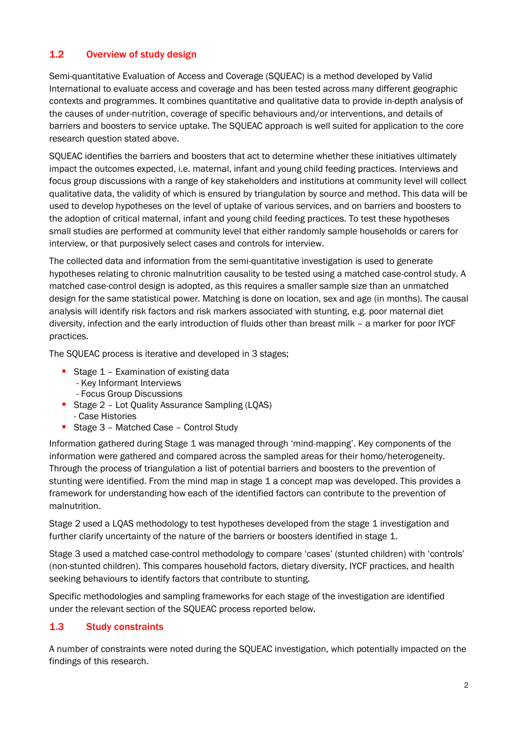# <span id="page-9-0"></span>1.2 Overview of study design

Semi-quantitative Evaluation of Access and Coverage (SQUEAC) is a method developed by Valid International to evaluate access and coverage and has been tested across many different geographic contexts and programmes. It combines quantitative and qualitative data to provide in-depth analysis of the causes of under-nutrition, coverage of specific behaviours and/or interventions, and details of barriers and boosters to service uptake. The SQUEAC approach is well suited for application to the core research question stated above.

SQUEAC identifies the barriers and boosters that act to determine whether these initiatives ultimately impact the outcomes expected, i.e. maternal, infant and young child feeding practices. Interviews and focus group discussions with a range of key stakeholders and institutions at community level will collect qualitative data, the validity of which is ensured by triangulation by source and method. This data will be used to develop hypotheses on the level of uptake of various services, and on barriers and boosters to the adoption of critical maternal, infant and young child feeding practices. To test these hypotheses small studies are performed at community level that either randomly sample households or carers for interview, or that purposively select cases and controls for interview.

The collected data and information from the semi-quantitative investigation is used to generate hypotheses relating to chronic malnutrition causality to be tested using a matched case-control study. A matched case-control design is adopted, as this requires a smaller sample size than an unmatched design for the same statistical power. Matching is done on location, sex and age (in months). The causal analysis will identify risk factors and risk markers associated with stunting, e.g. poor maternal diet diversity, infection and the early introduction of fluids other than breast milk – a marker for poor IYCF practices.

The SQUEAC process is iterative and developed in 3 stages;

- Stage 1 Examination of existing data
	- Key Informant Interviews
	- Focus Group Discussions
- **Stage 2 Lot Quality Assurance Sampling (LQAS)** - Case Histories
- Stage 3 Matched Case Control Study

Information gathered during Stage 1 was managed through 'mind-mapping'. Key components of the information were gathered and compared across the sampled areas for their homo/heterogeneity. Through the process of triangulation a list of potential barriers and boosters to the prevention of stunting were identified. From the mind map in stage 1 a concept map was developed. This provides a framework for understanding how each of the identified factors can contribute to the prevention of malnutrition.

Stage 2 used a LQAS methodology to test hypotheses developed from the stage 1 investigation and further clarify uncertainty of the nature of the barriers or boosters identified in stage 1.

Stage 3 used a matched case-control methodology to compare 'cases' (stunted children) with 'controls' (non-stunted children). This compares household factors, dietary diversity, IYCF practices, and health seeking behaviours to identify factors that contribute to stunting.

Specific methodologies and sampling frameworks for each stage of the investigation are identified under the relevant section of the SQUEAC process reported below.

# <span id="page-9-1"></span>1.3 Study constraints

A number of constraints were noted during the SQUEAC investigation, which potentially impacted on the findings of this research.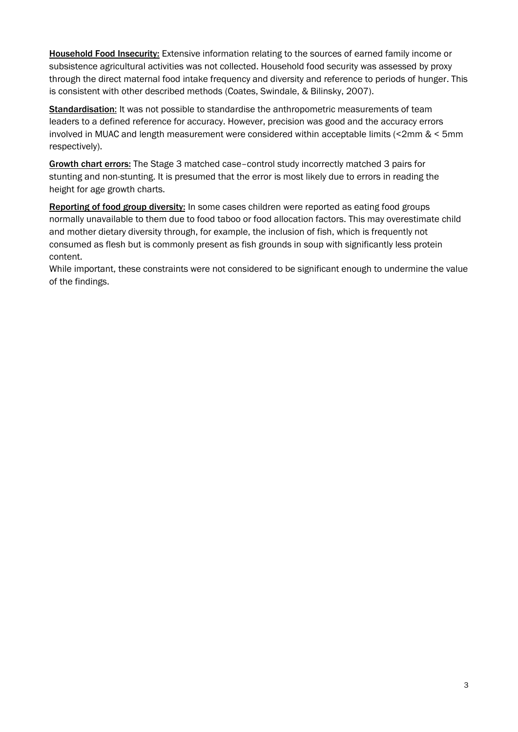Household Food Insecurity: Extensive information relating to the sources of earned family income or subsistence agricultural activities was not collected. Household food security was assessed by proxy through the direct maternal food intake frequency and diversity and reference to periods of hunger. This is consistent with other described methods (Coates, Swindale, & Bilinsky, 2007).

Standardisation: It was not possible to standardise the anthropometric measurements of team leaders to a defined reference for accuracy. However, precision was good and the accuracy errors involved in MUAC and length measurement were considered within acceptable limits (<2mm & < 5mm respectively).

Growth chart errors: The Stage 3 matched case-control study incorrectly matched 3 pairs for stunting and non-stunting. It is presumed that the error is most likely due to errors in reading the height for age growth charts.

Reporting of food group diversity: In some cases children were reported as eating food groups normally unavailable to them due to food taboo or food allocation factors. This may overestimate child and mother dietary diversity through, for example, the inclusion of fish, which is frequently not consumed as flesh but is commonly present as fish grounds in soup with significantly less protein content.

While important, these constraints were not considered to be significant enough to undermine the value of the findings.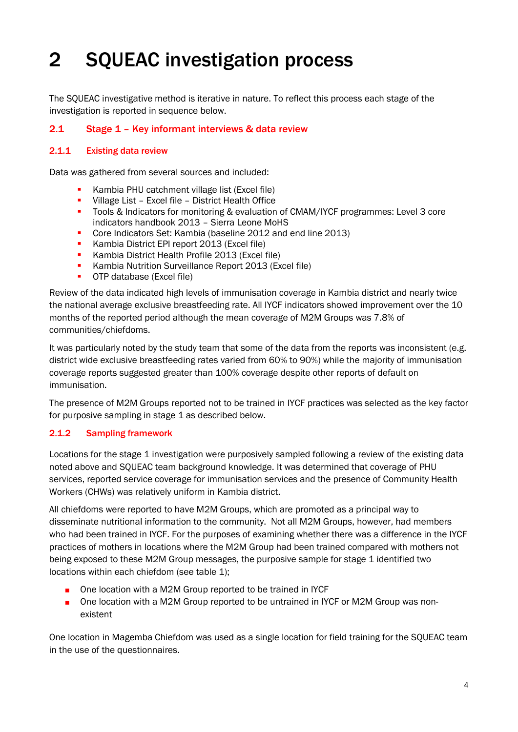# <span id="page-11-0"></span>2 SQUEAC investigation process

The SQUEAC investigative method is iterative in nature. To reflect this process each stage of the investigation is reported in sequence below.

# <span id="page-11-1"></span>2.1 Stage 1 – Key informant interviews & data review

# 2.1.1 Existing data review

Data was gathered from several sources and included:

- Kambia PHU catchment village list (Excel file)
- **•** Village List Excel file District Health Office
- Tools & Indicators for monitoring & evaluation of CMAM/IYCF programmes: Level 3 core indicators handbook 2013 – Sierra Leone MoHS
- Core Indicators Set: Kambia (baseline 2012 and end line 2013)<br>Kambia District FPI report 2013 (Excel file)
- Kambia District EPI report 2013 (Excel file)
- **Kambia District Health Profile 2013 (Excel file)**
- **Kambia Nutrition Surveillance Report 2013 (Excel file)**
- **OTP** database (Excel file)

Review of the data indicated high levels of immunisation coverage in Kambia district and nearly twice the national average exclusive breastfeeding rate. All IYCF indicators showed improvement over the 10 months of the reported period although the mean coverage of M2M Groups was 7.8% of communities/chiefdoms.

It was particularly noted by the study team that some of the data from the reports was inconsistent (e.g. district wide exclusive breastfeeding rates varied from 60% to 90%) while the majority of immunisation coverage reports suggested greater than 100% coverage despite other reports of default on immunisation.

The presence of M2M Groups reported not to be trained in IYCF practices was selected as the key factor for purposive sampling in stage 1 as described below.

# 2.1.2 Sampling framework

Locations for the stage 1 investigation were purposively sampled following a review of the existing data noted above and SQUEAC team background knowledge. It was determined that coverage of PHU services, reported service coverage for immunisation services and the presence of Community Health Workers (CHWs) was relatively uniform in Kambia district.

All chiefdoms were reported to have M2M Groups, which are promoted as a principal way to disseminate nutritional information to the community. Not all M2M Groups, however, had members who had been trained in IYCF. For the purposes of examining whether there was a difference in the IYCF practices of mothers in locations where the M2M Group had been trained compared with mothers not being exposed to these M2M Group messages, the purposive sample for stage 1 identified two locations within each chiefdom (see table 1);

- One location with a M2M Group reported to be trained in IYCF
- One location with a M2M Group reported to be untrained in IYCF or M2M Group was nonexistent

One location in Magemba Chiefdom was used as a single location for field training for the SQUEAC team in the use of the questionnaires.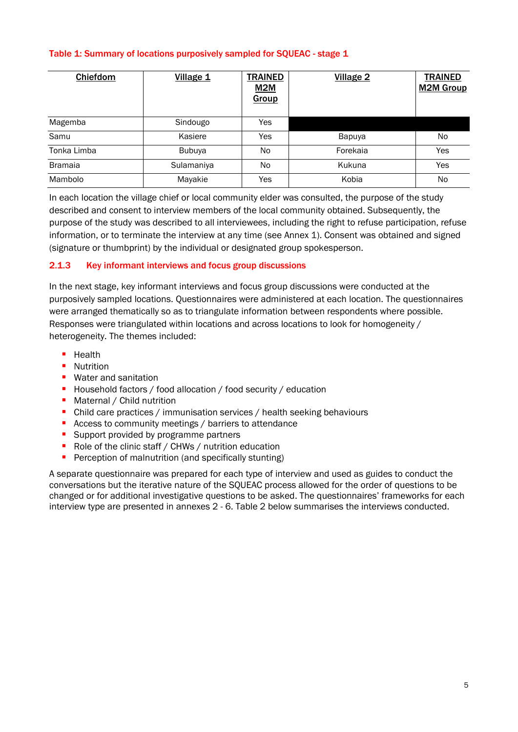# <span id="page-12-0"></span>Table 1: Summary of locations purposively sampled for SQUEAC - stage 1

| Chiefdom       | Village 1     | <b>TRAINED</b><br>M2M<br>Group | Village 2 | <b>TRAINED</b><br><b>M2M Group</b> |
|----------------|---------------|--------------------------------|-----------|------------------------------------|
| Magemba        | Sindougo      | <b>Yes</b>                     |           |                                    |
| Samu           | Kasiere       | Yes                            | Bapuya    | No.                                |
| Tonka Limba    | <b>Bubuya</b> | No.                            | Forekaia  | Yes                                |
| <b>Bramaia</b> | Sulamaniya    | N <sub>o</sub>                 | Kukuna    | Yes                                |
| Mambolo        | Mayakie       | Yes                            | Kobia     | No.                                |

In each location the village chief or local community elder was consulted, the purpose of the study described and consent to interview members of the local community obtained. Subsequently, the purpose of the study was described to all interviewees, including the right to refuse participation, refuse information, or to terminate the interview at any time (see Annex 1). Consent was obtained and signed (signature or thumbprint) by the individual or designated group spokesperson.

# 2.1.3 Key informant interviews and focus group discussions

In the next stage, key informant interviews and focus group discussions were conducted at the purposively sampled locations. Questionnaires were administered at each location. The questionnaires were arranged thematically so as to triangulate information between respondents where possible. Responses were triangulated within locations and across locations to look for homogeneity / heterogeneity. The themes included:

- **Health**
- **Nutrition**
- **Water and sanitation**
- **Household factors / food allocation / food security / education**
- Maternal / Child nutrition
- Child care practices / immunisation services / health seeking behaviours
- Access to community meetings / barriers to attendance
- **Support provided by programme partners**
- Role of the clinic staff / CHWs / nutrition education
- **Perception of malnutrition (and specifically stunting)**

A separate questionnaire was prepared for each type of interview and used as guides to conduct the conversations but the iterative nature of the SQUEAC process allowed for the order of questions to be changed or for additional investigative questions to be asked. The questionnaires' frameworks for each interview type are presented in annexes 2 - 6. Table 2 below summarises the interviews conducted.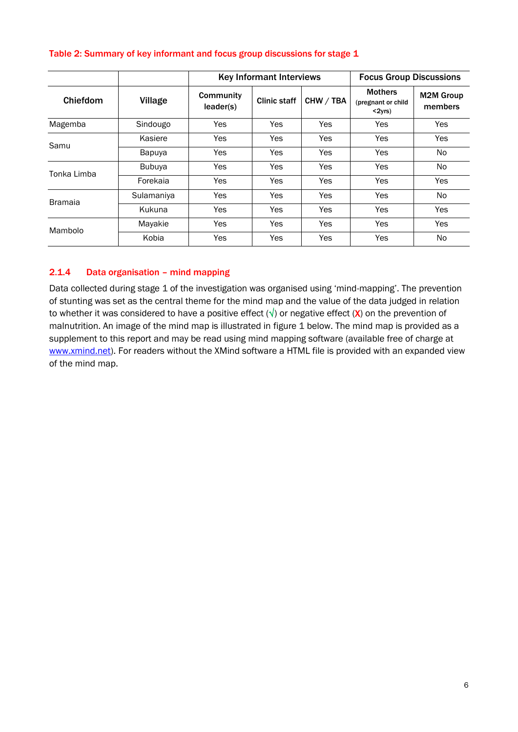|                |               |                        | <b>Key Informant Interviews</b> | <b>Focus Group Discussions</b> |                                                   |                             |
|----------------|---------------|------------------------|---------------------------------|--------------------------------|---------------------------------------------------|-----------------------------|
| Chiefdom       | Village       | Community<br>leader(s) | <b>Clinic staff</b>             | CHW / TBA                      | <b>Mothers</b><br>(pregnant or child<br>$<$ 2yrs) | <b>M2M Group</b><br>members |
| Magemba        | Sindougo      | <b>Yes</b>             | <b>Yes</b>                      | Yes                            | Yes                                               | Yes                         |
|                | Kasiere       | <b>Yes</b>             | Yes                             | Yes                            | Yes                                               | Yes                         |
| Samu           | Bapuya        | <b>Yes</b>             | Yes                             | <b>Yes</b>                     | Yes                                               | No.                         |
| Tonka Limba    | <b>Bubuya</b> | <b>Yes</b>             | Yes                             | Yes                            | Yes                                               | No.                         |
|                | Forekaia      | <b>Yes</b>             | Yes                             | <b>Yes</b>                     | Yes                                               | <b>Yes</b>                  |
| <b>Bramaia</b> | Sulamaniya    | <b>Yes</b>             | Yes                             | <b>Yes</b>                     | Yes                                               | No.                         |
|                | Kukuna        | <b>Yes</b>             | Yes                             | Yes                            | Yes                                               | Yes                         |
| Mambolo        | Mayakie       | <b>Yes</b>             | Yes                             | Yes                            | Yes                                               | Yes                         |
|                | Kobia         | Yes                    | <b>Yes</b>                      | Yes                            | Yes                                               | N <sub>o</sub>              |

## <span id="page-13-0"></span>Table 2: Summary of key informant and focus group discussions for stage 1

# 2.1.4 Data organisation – mind mapping

Data collected during stage 1 of the investigation was organised using 'mind-mapping'. The prevention of stunting was set as the central theme for the mind map and the value of the data judged in relation to whether it was considered to have a positive effect ( $\sqrt{ }$ ) or negative effect (X) on the prevention of malnutrition. An image of the mind map is illustrated in figure 1 below. The mind map is provided as a supplement to this report and may be read using mind mapping software (available free of charge at [www.xmind.net\)](http://www.xmind.net/). For readers without the XMind software a HTML file is provided with an expanded view of the mind map.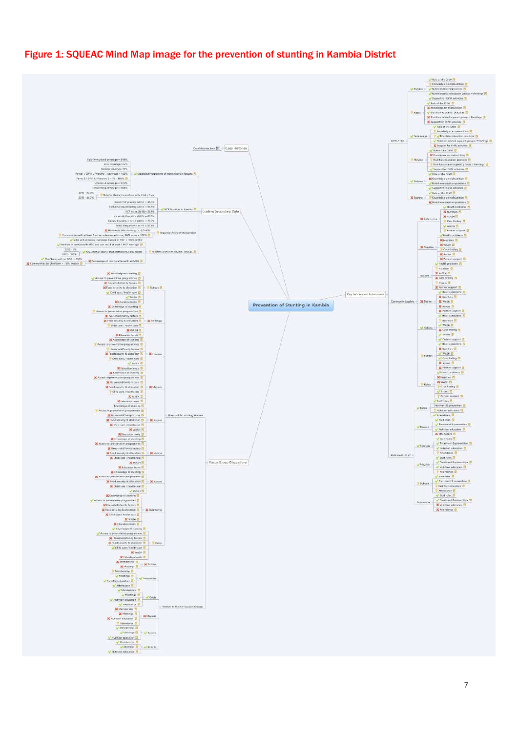# <span id="page-14-0"></span>Figure 1: SQUEAC Mind Map image for the prevention of stunting in Kambia District

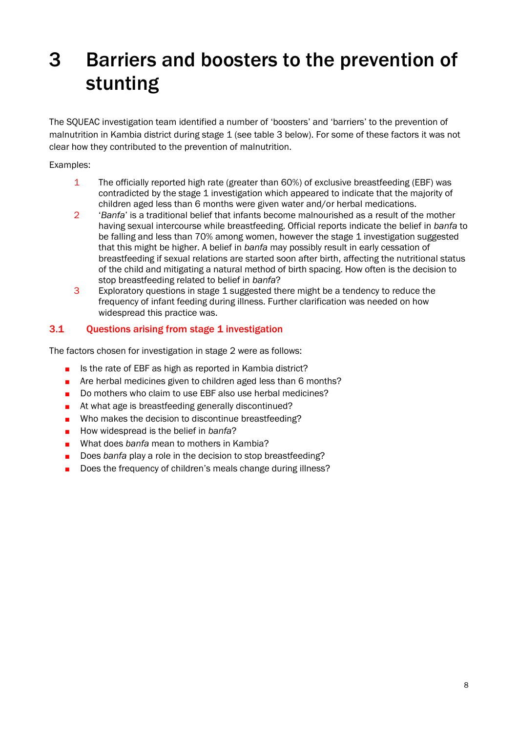# <span id="page-15-0"></span>3 Barriers and boosters to the prevention of stunting

The SQUEAC investigation team identified a number of 'boosters' and 'barriers' to the prevention of malnutrition in Kambia district during stage 1 (see table 3 below). For some of these factors it was not clear how they contributed to the prevention of malnutrition.

# Examples:

- 1 The officially reported high rate (greater than 60%) of exclusive breastfeeding (EBF) was contradicted by the stage 1 investigation which appeared to indicate that the majority of children aged less than 6 months were given water and/or herbal medications.
- 2 '*Banfa*' is a traditional belief that infants become malnourished as a result of the mother having sexual intercourse while breastfeeding. Official reports indicate the belief in *banfa* to be falling and less than 70% among women, however the stage 1 investigation suggested that this might be higher. A belief in *banfa* may possibly result in early cessation of breastfeeding if sexual relations are started soon after birth, affecting the nutritional status of the child and mitigating a natural method of birth spacing. How often is the decision to stop breastfeeding related to belief in *banfa*?
- 3 Exploratory questions in stage 1 suggested there might be a tendency to reduce the frequency of infant feeding during illness. Further clarification was needed on how widespread this practice was.

# <span id="page-15-1"></span>3.1 Questions arising from stage 1 investigation

The factors chosen for investigation in stage 2 were as follows:

- Is the rate of EBF as high as reported in Kambia district?
- Are herbal medicines given to children aged less than 6 months?
- Do mothers who claim to use EBF also use herbal medicines?
- At what age is breastfeeding generally discontinued?
- Who makes the decision to discontinue breastfeeding?
- How widespread is the belief in *banfa*?
- What does *banfa* mean to mothers in Kambia?
- Does *banfa* play a role in the decision to stop breastfeeding?
- <span id="page-15-2"></span>Does the frequency of children's meals change during illness?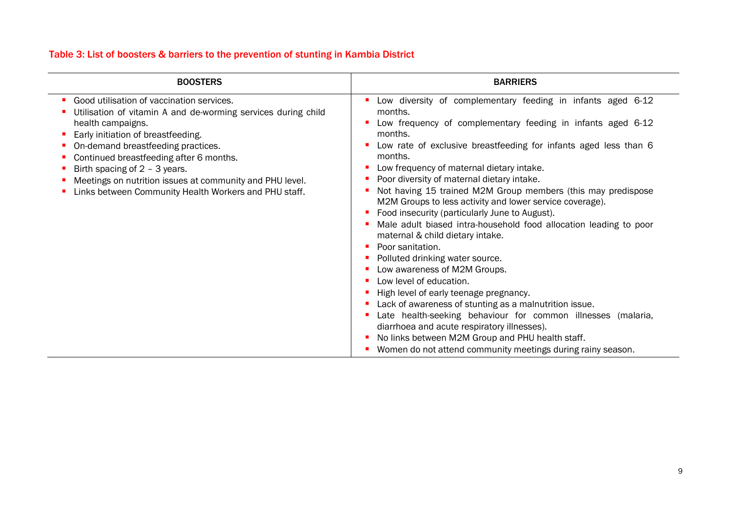# Table 3: List of boosters & barriers to the prevention of stunting in Kambia District

<span id="page-16-0"></span>

| <b>BOOSTERS</b>                                                                                                                                                                                                                                                                                                                                                                                                | <b>BARRIERS</b>                                                                                                                                                                                                                                                                                                                                                                                                                                                                                                                                                                                                                                                                                                                                                                                                                                                                                                                                                                                                                                                           |
|----------------------------------------------------------------------------------------------------------------------------------------------------------------------------------------------------------------------------------------------------------------------------------------------------------------------------------------------------------------------------------------------------------------|---------------------------------------------------------------------------------------------------------------------------------------------------------------------------------------------------------------------------------------------------------------------------------------------------------------------------------------------------------------------------------------------------------------------------------------------------------------------------------------------------------------------------------------------------------------------------------------------------------------------------------------------------------------------------------------------------------------------------------------------------------------------------------------------------------------------------------------------------------------------------------------------------------------------------------------------------------------------------------------------------------------------------------------------------------------------------|
| Good utilisation of vaccination services.<br>Utilisation of vitamin A and de-worming services during child<br>health campaigns.<br>Early initiation of breastfeeding.<br>On-demand breastfeeding practices.<br>Continued breastfeeding after 6 months.<br>Birth spacing of $2 - 3$ years.<br>Meetings on nutrition issues at community and PHU level.<br>Links between Community Health Workers and PHU staff. | Low diversity of complementary feeding in infants aged 6-12<br>months.<br>Low frequency of complementary feeding in infants aged 6-12<br>months.<br>Low rate of exclusive breastfeeding for infants aged less than 6<br>months.<br>Low frequency of maternal dietary intake.<br>Poor diversity of maternal dietary intake.<br>Not having 15 trained M2M Group members (this may predispose<br>M2M Groups to less activity and lower service coverage).<br>Food insecurity (particularly June to August).<br>Male adult biased intra-household food allocation leading to poor<br>maternal & child dietary intake.<br>Poor sanitation.<br>Polluted drinking water source.<br>Low awareness of M2M Groups.<br>Low level of education.<br>High level of early teenage pregnancy.<br>Lack of awareness of stunting as a malnutrition issue.<br>Late health-seeking behaviour for common illnesses (malaria,<br>diarrhoea and acute respiratory illnesses).<br>No links between M2M Group and PHU health staff.<br>Women do not attend community meetings during rainy season. |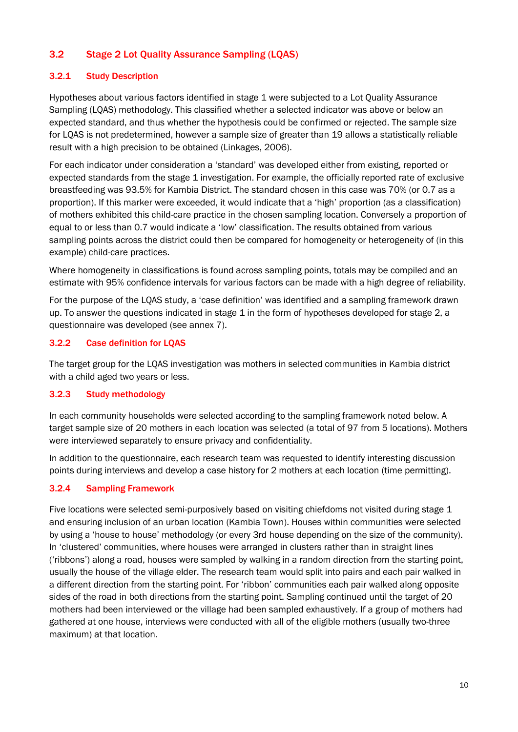# 3.2 Stage 2 Lot Quality Assurance Sampling (LQAS)

# 3.2.1 Study Description

Hypotheses about various factors identified in stage 1 were subjected to a Lot Quality Assurance Sampling (LQAS) methodology. This classified whether a selected indicator was above or below an expected standard, and thus whether the hypothesis could be confirmed or rejected. The sample size for LQAS is not predetermined, however a sample size of greater than 19 allows a statistically reliable result with a high precision to be obtained (Linkages, 2006).

For each indicator under consideration a 'standard' was developed either from existing, reported or expected standards from the stage 1 investigation. For example, the officially reported rate of exclusive breastfeeding was 93.5% for Kambia District. The standard chosen in this case was 70% (or 0.7 as a proportion). If this marker were exceeded, it would indicate that a 'high' proportion (as a classification) of mothers exhibited this child-care practice in the chosen sampling location. Conversely a proportion of equal to or less than 0.7 would indicate a 'low' classification. The results obtained from various sampling points across the district could then be compared for homogeneity or heterogeneity of (in this example) child-care practices.

Where homogeneity in classifications is found across sampling points, totals may be compiled and an estimate with 95% confidence intervals for various factors can be made with a high degree of reliability.

For the purpose of the LQAS study, a 'case definition' was identified and a sampling framework drawn up. To answer the questions indicated in stage 1 in the form of hypotheses developed for stage 2, a questionnaire was developed (see annex 7).

# 3.2.2 Case definition for LQAS

The target group for the LQAS investigation was mothers in selected communities in Kambia district with a child aged two years or less.

# 3.2.3 Study methodology

In each community households were selected according to the sampling framework noted below. A target sample size of 20 mothers in each location was selected (a total of 97 from 5 locations). Mothers were interviewed separately to ensure privacy and confidentiality.

In addition to the questionnaire, each research team was requested to identify interesting discussion points during interviews and develop a case history for 2 mothers at each location (time permitting).

# 3.2.4 Sampling Framework

Five locations were selected semi-purposively based on visiting chiefdoms not visited during stage 1 and ensuring inclusion of an urban location (Kambia Town). Houses within communities were selected by using a 'house to house' methodology (or every 3rd house depending on the size of the community). In 'clustered' communities, where houses were arranged in clusters rather than in straight lines ('ribbons') along a road, houses were sampled by walking in a random direction from the starting point, usually the house of the village elder. The research team would split into pairs and each pair walked in a different direction from the starting point. For 'ribbon' communities each pair walked along opposite sides of the road in both directions from the starting point. Sampling continued until the target of 20 mothers had been interviewed or the village had been sampled exhaustively. If a group of mothers had gathered at one house, interviews were conducted with all of the eligible mothers (usually two-three maximum) at that location.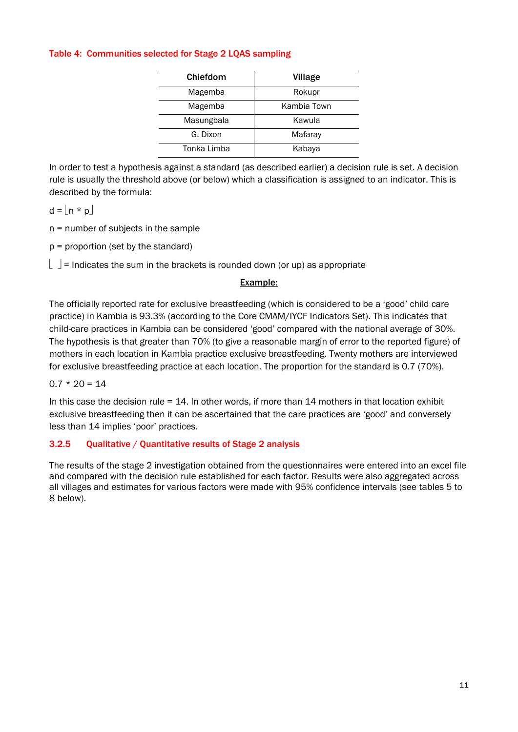### <span id="page-18-0"></span>Table 4: Communities selected for Stage 2 LQAS sampling

| Chiefdom    | Village     |
|-------------|-------------|
| Magemba     | Rokupr      |
| Magemba     | Kambia Town |
| Masungbala  | Kawula      |
| G. Dixon    | Mafaray     |
| Tonka Limba | Kabaya      |

In order to test a hypothesis against a standard (as described earlier) a decision rule is set. A decision rule is usually the threshold above (or below) which a classification is assigned to an indicator. This is described by the formula:

 $d = |n * p|$ 

n = number of subjects in the sample

 $p =$  proportion (set by the standard)

 $\vert$   $\vert$  = Indicates the sum in the brackets is rounded down (or up) as appropriate

# Example:

The officially reported rate for exclusive breastfeeding (which is considered to be a 'good' child care practice) in Kambia is 93.3% (according to the Core CMAM/IYCF Indicators Set). This indicates that child-care practices in Kambia can be considered 'good' compared with the national average of 30%. The hypothesis is that greater than 70% (to give a reasonable margin of error to the reported figure) of mothers in each location in Kambia practice exclusive breastfeeding. Twenty mothers are interviewed for exclusive breastfeeding practice at each location. The proportion for the standard is 0.7 (70%).

 $0.7 * 20 = 14$ 

In this case the decision rule  $= 14$ . In other words, if more than 14 mothers in that location exhibit exclusive breastfeeding then it can be ascertained that the care practices are 'good' and conversely less than 14 implies 'poor' practices.

# 3.2.5 Qualitative / Quantitative results of Stage 2 analysis

The results of the stage 2 investigation obtained from the questionnaires were entered into an excel file and compared with the decision rule established for each factor. Results were also aggregated across all villages and estimates for various factors were made with 95% confidence intervals (see tables 5 to 8 below).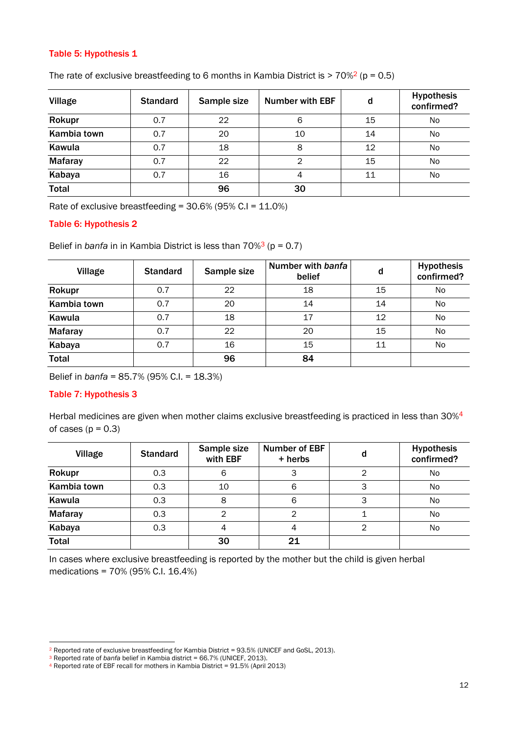# <span id="page-19-0"></span>Table 5: Hypothesis 1

| <b>Village</b> | <b>Standard</b> | Sample size | <b>Number with EBF</b> | d  | <b>Hypothesis</b><br>confirmed? |
|----------------|-----------------|-------------|------------------------|----|---------------------------------|
| Rokupr         | 0.7             | 22          | 6                      | 15 | <b>No</b>                       |
| Kambia town    | 0.7             | 20          | 10                     | 14 | <b>No</b>                       |
| Kawula         | 0.7             | 18          | 8                      | 12 | <b>No</b>                       |
| <b>Mafaray</b> | 0.7             | 22          | 2                      | 15 | <b>No</b>                       |
| Kabaya         | 0.7             | 16          | 4                      | 11 | <b>No</b>                       |
| <b>Total</b>   |                 | 96          | 30                     |    |                                 |

The rate of exclusive breastfeeding to 6 months in Kambia District is  $> 70\frac{2}{9}$  (p = 0.5)

Rate of exclusive breastfeeding =  $30.6\%$  (95% C.I =  $11.0\%$ )

### <span id="page-19-1"></span>Table 6: Hypothesis 2

Belief in *banfa* in in Kambia District is less than 70%<sup>3</sup> (p = 0.7)

| Village        | <b>Standard</b> | Sample size | Number with banfa<br>belief | d  | <b>Hypothesis</b><br>confirmed? |
|----------------|-----------------|-------------|-----------------------------|----|---------------------------------|
| Rokupr         | 0.7             | 22          | 18                          | 15 | No                              |
| Kambia town    | 0.7             | 20          | 14                          | 14 | No.                             |
| Kawula         | 0.7             | 18          | 17                          | 12 | <b>No</b>                       |
| <b>Mafaray</b> | 0.7             | 22          | 20                          | 15 | <b>No</b>                       |
| Kabaya         | 0.7             | 16          | 15                          | 11 | No.                             |
| <b>Total</b>   |                 | 96          | 84                          |    |                                 |

Belief in *banfa* = 85.7% (95% C.I. = 18.3%)

#### <span id="page-19-2"></span>Table 7: Hypothesis 3

Herbal medicines are given when mother claims exclusive breastfeeding is practiced in less than 30%<sup>4</sup> of cases  $(p = 0.3)$ 

| Village        | <b>Standard</b> | Sample size<br>with EBF | <b>Number of EBF</b><br>+ herbs | d | <b>Hypothesis</b><br>confirmed? |
|----------------|-----------------|-------------------------|---------------------------------|---|---------------------------------|
| Rokupr         | 0.3             | 6                       | 3                               |   | No                              |
| Kambia town    | 0.3             | 10                      | 6                               | З | <b>No</b>                       |
| Kawula         | 0.3             | 8                       | 6                               | 3 | <b>No</b>                       |
| <b>Mafaray</b> | 0.3             | ⌒                       |                                 |   | No                              |
| Kabaya         | 0.3             |                         | 4                               | ◠ | No                              |
| <b>Total</b>   |                 | 30                      | 21                              |   |                                 |

In cases where exclusive breastfeeding is reported by the mother but the child is given herbal medications = 70% (95% C.I. 16.4%)

<sup>&</sup>lt;sup>2</sup> Reported rate of exclusive breastfeeding for Kambia District = 93.5% (UNICEF and GoSL, 2013).

<sup>&</sup>lt;sup>3</sup> Reported rate of *banfa* belief in Kambia district = 66.7% (UNICEF, 2013).

<sup>4</sup> Reported rate of EBF recall for mothers in Kambia District = 91.5% (April 2013)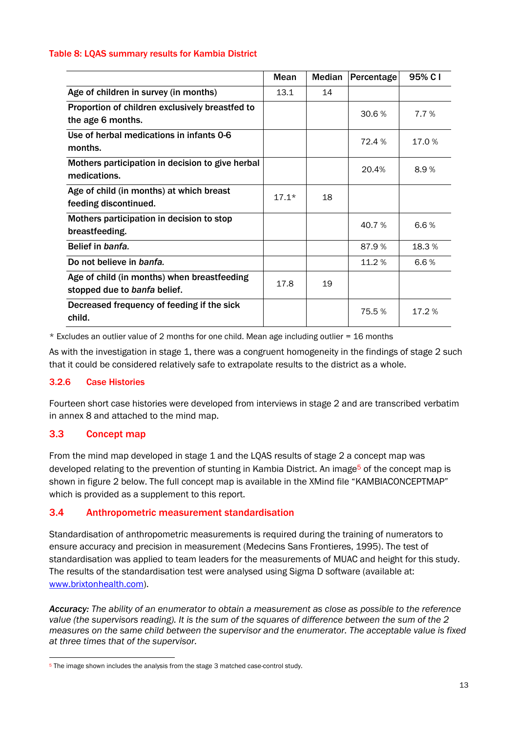### <span id="page-20-2"></span>Table 8: LQAS summary results for Kambia District

|                                                                             | Mean    | <b>Median</b> | Percentage | 95% C I |
|-----------------------------------------------------------------------------|---------|---------------|------------|---------|
| Age of children in survey (in months)                                       | 13.1    | 14            |            |         |
| Proportion of children exclusively breastfed to<br>the age 6 months.        |         |               | 30.6%      | 7.7 %   |
| Use of herbal medications in infants 0-6<br>months.                         |         |               | 72.4 %     | 17.0%   |
| Mothers participation in decision to give herbal<br>medications.            |         |               | 20.4%      | 8.9%    |
| Age of child (in months) at which breast<br>feeding discontinued.           | $17.1*$ | 18            |            |         |
| Mothers participation in decision to stop<br>breastfeeding.                 |         |               | 40.7%      | 6.6%    |
| Belief in banfa.                                                            |         |               | 87.9%      | 18.3%   |
| Do not believe in banfa.                                                    |         |               | 11.2 %     | 6.6%    |
| Age of child (in months) when breastfeeding<br>stopped due to banfa belief. | 17.8    | 19            |            |         |
| Decreased frequency of feeding if the sick<br>child.                        |         |               | 75.5%      | 17.2 %  |

 $*$  Excludes an outlier value of 2 months for one child. Mean age including outlier = 16 months

As with the investigation in stage 1, there was a congruent homogeneity in the findings of stage 2 such that it could be considered relatively safe to extrapolate results to the district as a whole.

# 3.2.6 Case Histories

Fourteen short case histories were developed from interviews in stage 2 and are transcribed verbatim in annex 8 and attached to the mind map.

# <span id="page-20-0"></span>3.3 Concept map

From the mind map developed in stage 1 and the LQAS results of stage 2 a concept map was developed relating to the prevention of stunting in Kambia District. An image<sup>5</sup> of the concept map is shown in figure 2 below. The full concept map is available in the XMind file "KAMBIACONCEPTMAP" which is provided as a supplement to this report.

# <span id="page-20-1"></span>3.4 Anthropometric measurement standardisation

Standardisation of anthropometric measurements is required during the training of numerators to ensure accuracy and precision in measurement (Medecins Sans Frontieres, 1995). The test of standardisation was applied to team leaders for the measurements of MUAC and height for this study. The results of the standardisation test were analysed using Sigma D software (available at: [www.brixtonhealth.com\)](http://www.brixtonhealth.com/).

*Accuracy: The ability of an enumerator to obtain a measurement as close as possible to the reference value (the supervisors reading). It is the sum of the squares of difference between the sum of the 2 measures on the same child between the supervisor and the enumerator. The acceptable value is fixed at three times that of the supervisor.* 

<sup>&</sup>lt;sup>5</sup> The image shown includes the analysis from the stage 3 matched case-control study.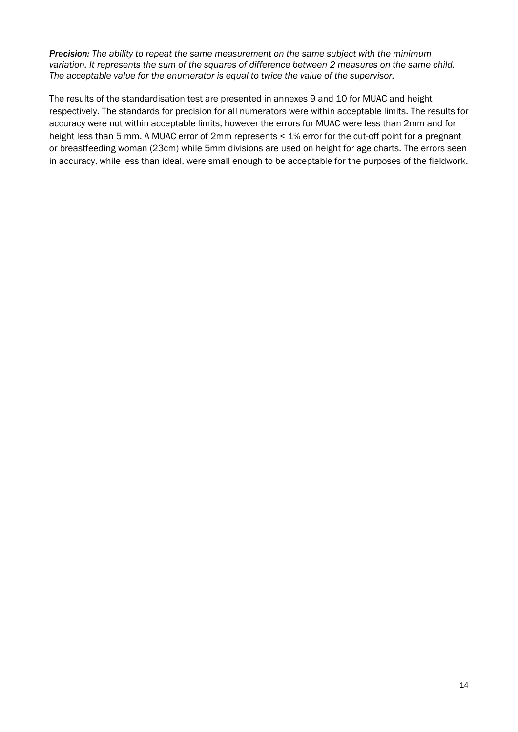*Precision: The ability to repeat the same measurement on the same subject with the minimum variation. It represents the sum of the squares of difference between 2 measures on the same child. The acceptable value for the enumerator is equal to twice the value of the supervisor.* 

<span id="page-21-0"></span>The results of the standardisation test are presented in annexes 9 and 10 for MUAC and height respectively. The standards for precision for all numerators were within acceptable limits. The results for accuracy were not within acceptable limits, however the errors for MUAC were less than 2mm and for height less than 5 mm. A MUAC error of 2mm represents < 1% error for the cut-off point for a pregnant or breastfeeding woman (23cm) while 5mm divisions are used on height for age charts. The errors seen in accuracy, while less than ideal, were small enough to be acceptable for the purposes of the fieldwork.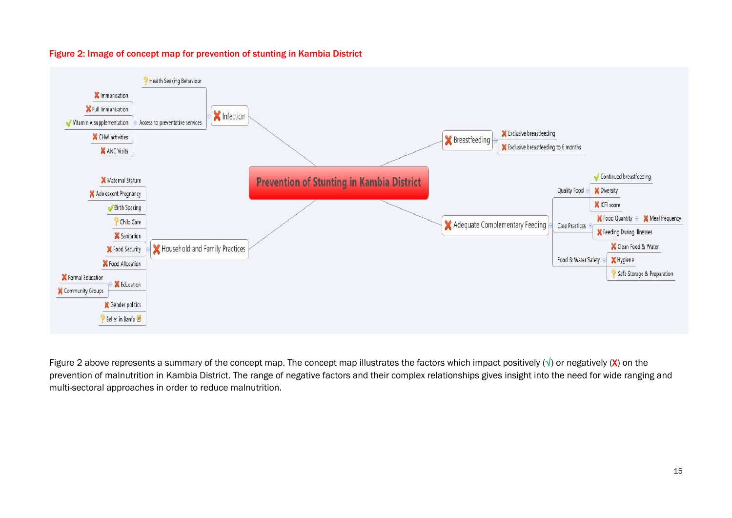

#### Figure 2: Image of concept map for prevention of stunting in Kambia District

Figure 2 above represents a summary of the concept map. The concept map illustrates the factors which impact positively  $(\sqrt{})$  or negatively  $(X)$  on the prevention of malnutrition in Kambia District. The range of negative factors and their complex relationships gives insight into the need for wide ranging and multi-sectoral approaches in order to reduce malnutrition.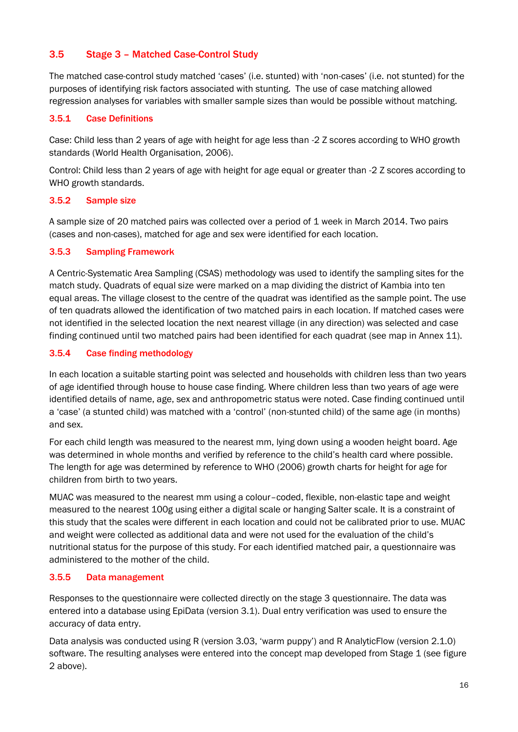# <span id="page-23-0"></span>3.5 Stage 3 – Matched Case-Control Study

The matched case-control study matched 'cases' (i.e. stunted) with 'non-cases' (i.e. not stunted) for the purposes of identifying risk factors associated with stunting. The use of case matching allowed regression analyses for variables with smaller sample sizes than would be possible without matching.

# 3.5.1 Case Definitions

Case: Child less than 2 years of age with height for age less than -2 Z scores according to WHO growth standards (World Health Organisation, 2006).

Control: Child less than 2 years of age with height for age equal or greater than -2 Z scores according to WHO growth standards.

# 3.5.2 Sample size

A sample size of 20 matched pairs was collected over a period of 1 week in March 2014. Two pairs (cases and non-cases), matched for age and sex were identified for each location.

# 3.5.3 Sampling Framework

A Centric-Systematic Area Sampling (CSAS) methodology was used to identify the sampling sites for the match study. Quadrats of equal size were marked on a map dividing the district of Kambia into ten equal areas. The village closest to the centre of the quadrat was identified as the sample point. The use of ten quadrats allowed the identification of two matched pairs in each location. If matched cases were not identified in the selected location the next nearest village (in any direction) was selected and case finding continued until two matched pairs had been identified for each quadrat (see map in Annex 11).

# 3.5.4 Case finding methodology

In each location a suitable starting point was selected and households with children less than two years of age identified through house to house case finding. Where children less than two years of age were identified details of name, age, sex and anthropometric status were noted. Case finding continued until a 'case' (a stunted child) was matched with a 'control' (non-stunted child) of the same age (in months) and sex.

For each child length was measured to the nearest mm, lying down using a wooden height board. Age was determined in whole months and verified by reference to the child's health card where possible. The length for age was determined by reference to WHO (2006) growth charts for height for age for children from birth to two years.

MUAC was measured to the nearest mm using a colour–coded, flexible, non-elastic tape and weight measured to the nearest 100g using either a digital scale or hanging Salter scale. It is a constraint of this study that the scales were different in each location and could not be calibrated prior to use. MUAC and weight were collected as additional data and were not used for the evaluation of the child's nutritional status for the purpose of this study. For each identified matched pair, a questionnaire was administered to the mother of the child.

# 3.5.5 Data management

Responses to the questionnaire were collected directly on the stage 3 questionnaire. The data was entered into a database using EpiData (version 3.1). Dual entry verification was used to ensure the accuracy of data entry.

Data analysis was conducted using R (version 3.03, 'warm puppy') and R AnalyticFlow (version 2.1.0) software. The resulting analyses were entered into the concept map developed from Stage 1 (see figure 2 above).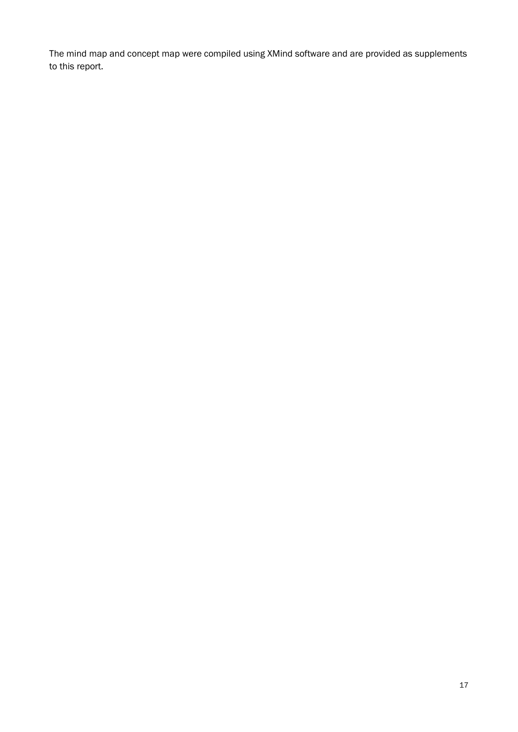The mind map and concept map were compiled using XMind software and are provided as supplements to this report.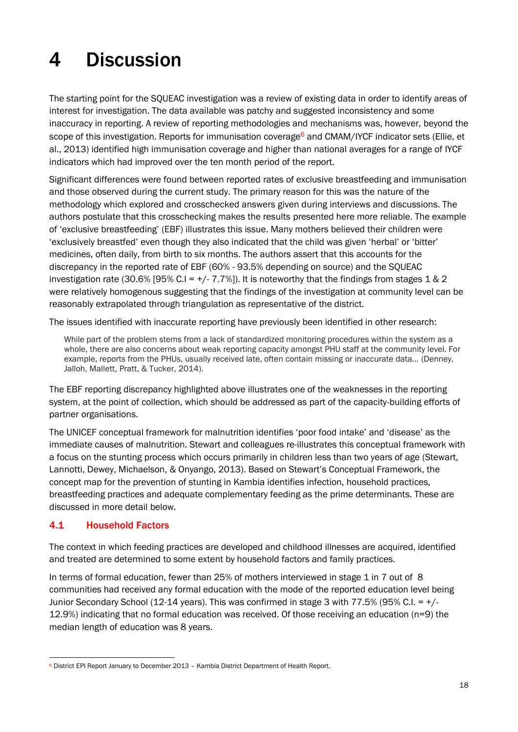# <span id="page-25-0"></span>4 Discussion

The starting point for the SQUEAC investigation was a review of existing data in order to identify areas of interest for investigation. The data available was patchy and suggested inconsistency and some inaccuracy in reporting. A review of reporting methodologies and mechanisms was, however, beyond the scope of this investigation. Reports for immunisation coverage<sup>6</sup> and CMAM/IYCF indicator sets (Ellie, et al., 2013) identified high immunisation coverage and higher than national averages for a range of IYCF indicators which had improved over the ten month period of the report.

Significant differences were found between reported rates of exclusive breastfeeding and immunisation and those observed during the current study. The primary reason for this was the nature of the methodology which explored and crosschecked answers given during interviews and discussions. The authors postulate that this crosschecking makes the results presented here more reliable. The example of 'exclusive breastfeeding' (EBF) illustrates this issue. Many mothers believed their children were 'exclusively breastfed' even though they also indicated that the child was given 'herbal' or 'bitter' medicines, often daily, from birth to six months. The authors assert that this accounts for the discrepancy in the reported rate of EBF (60% - 93.5% depending on source) and the SQUEAC investigation rate (30.6% [95% C.I =  $+/-7.7$ %]). It is noteworthy that the findings from stages 1 & 2 were relatively homogenous suggesting that the findings of the investigation at community level can be reasonably extrapolated through triangulation as representative of the district.

The issues identified with inaccurate reporting have previously been identified in other research:

While part of the problem stems from a lack of standardized monitoring procedures within the system as a whole, there are also concerns about weak reporting capacity amongst PHU staff at the community level. For example, reports from the PHUs, usually received late, often contain missing or inaccurate data… (Denney, Jalloh, Mallett, Pratt, & Tucker, 2014).

The EBF reporting discrepancy highlighted above illustrates one of the weaknesses in the reporting system, at the point of collection, which should be addressed as part of the capacity-building efforts of partner organisations.

The UNICEF conceptual framework for malnutrition identifies 'poor food intake' and 'disease' as the immediate causes of malnutrition. Stewart and colleagues re-illustrates this conceptual framework with a focus on the stunting process which occurs primarily in children less than two years of age (Stewart, Lannotti, Dewey, Michaelson, & Onyango, 2013). Based on Stewart's Conceptual Framework, the concept map for the prevention of stunting in Kambia identifies infection, household practices, breastfeeding practices and adequate complementary feeding as the prime determinants. These are discussed in more detail below.

# <span id="page-25-1"></span>4.1 Household Factors

The context in which feeding practices are developed and childhood illnesses are acquired, identified and treated are determined to some extent by household factors and family practices.

In terms of formal education, fewer than 25% of mothers interviewed in stage 1 in 7 out of 8 communities had received any formal education with the mode of the reported education level being Junior Secondary School (12-14 years). This was confirmed in stage 3 with 77.5% (95% C.I. = +/- 12.9%) indicating that no formal education was received. Of those receiving an education (n=9) the median length of education was 8 years.

<sup>6</sup> District EPI Report January to December 2013 – Kambia District Department of Health Report.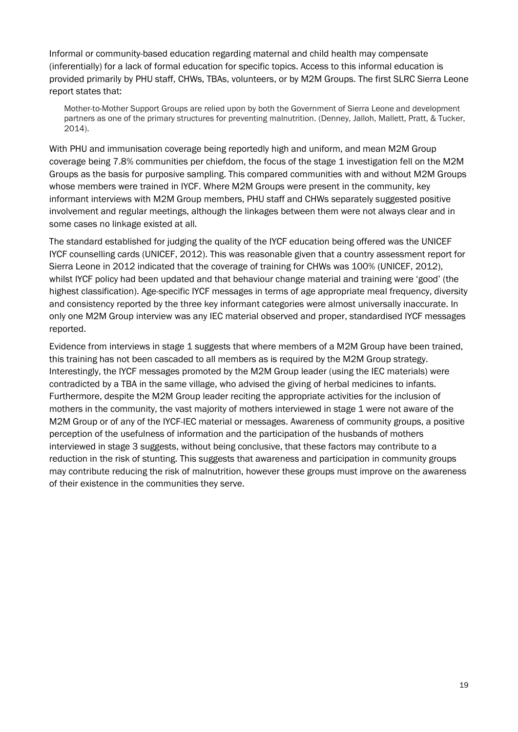Informal or community-based education regarding maternal and child health may compensate (inferentially) for a lack of formal education for specific topics. Access to this informal education is provided primarily by PHU staff, CHWs, TBAs, volunteers, or by M2M Groups. The first SLRC Sierra Leone report states that:

Mother-to-Mother Support Groups are relied upon by both the Government of Sierra Leone and development partners as one of the primary structures for preventing malnutrition. (Denney, Jalloh, Mallett, Pratt, & Tucker, 2014).

With PHU and immunisation coverage being reportedly high and uniform, and mean M2M Group coverage being 7.8% communities per chiefdom, the focus of the stage 1 investigation fell on the M2M Groups as the basis for purposive sampling. This compared communities with and without M2M Groups whose members were trained in IYCF. Where M2M Groups were present in the community, key informant interviews with M2M Group members, PHU staff and CHWs separately suggested positive involvement and regular meetings, although the linkages between them were not always clear and in some cases no linkage existed at all.

The standard established for judging the quality of the IYCF education being offered was the UNICEF IYCF counselling cards (UNICEF, 2012). This was reasonable given that a country assessment report for Sierra Leone in 2012 indicated that the coverage of training for CHWs was 100% (UNICEF, 2012), whilst IYCF policy had been updated and that behaviour change material and training were 'good' (the highest classification). Age-specific IYCF messages in terms of age appropriate meal frequency, diversity and consistency reported by the three key informant categories were almost universally inaccurate. In only one M2M Group interview was any IEC material observed and proper, standardised IYCF messages reported.

Evidence from interviews in stage 1 suggests that where members of a M2M Group have been trained, this training has not been cascaded to all members as is required by the M2M Group strategy. Interestingly, the IYCF messages promoted by the M2M Group leader (using the IEC materials) were contradicted by a TBA in the same village, who advised the giving of herbal medicines to infants. Furthermore, despite the M2M Group leader reciting the appropriate activities for the inclusion of mothers in the community, the vast majority of mothers interviewed in stage 1 were not aware of the M2M Group or of any of the IYCF-IEC material or messages. Awareness of community groups, a positive perception of the usefulness of information and the participation of the husbands of mothers interviewed in stage 3 suggests, without being conclusive, that these factors may contribute to a reduction in the risk of stunting. This suggests that awareness and participation in community groups may contribute reducing the risk of malnutrition, however these groups must improve on the awareness of their existence in the communities they serve.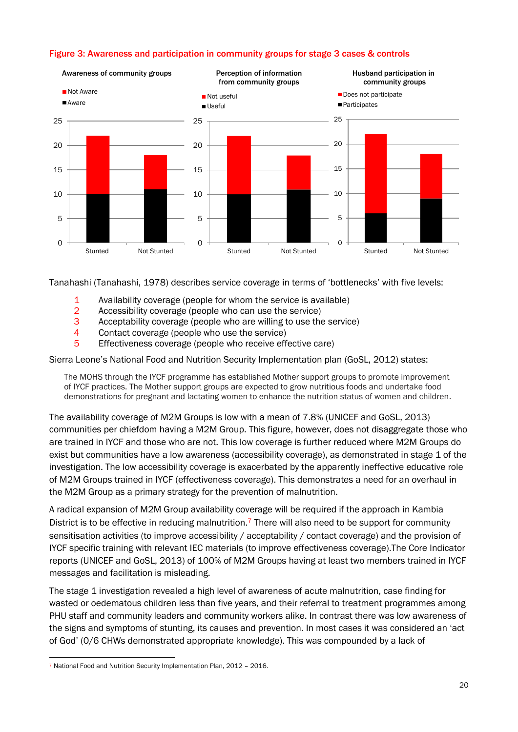# <span id="page-27-0"></span>Figure 3: Awareness and participation in community groups for stage 3 cases & controls



Tanahashi (Tanahashi, 1978) describes service coverage in terms of 'bottlenecks' with five levels:

- 1 Availability coverage (people for whom the service is available)
- 2 Accessibility coverage (people who can use the service)
- 3 Acceptability coverage (people who are willing to use the service)
- 4 Contact coverage (people who use the service)
- 5 Effectiveness coverage (people who receive effective care)

Sierra Leone's National Food and Nutrition Security Implementation plan (GoSL, 2012) states:

The MOHS through the IYCF programme has established Mother support groups to promote improvement of IYCF practices. The Mother support groups are expected to grow nutritious foods and undertake food demonstrations for pregnant and lactating women to enhance the nutrition status of women and children.

The availability coverage of M2M Groups is low with a mean of 7.8% (UNICEF and GoSL, 2013) communities per chiefdom having a M2M Group. This figure, however, does not disaggregate those who are trained in IYCF and those who are not. This low coverage is further reduced where M2M Groups do exist but communities have a low awareness (accessibility coverage), as demonstrated in stage 1 of the investigation. The low accessibility coverage is exacerbated by the apparently ineffective educative role of M2M Groups trained in IYCF (effectiveness coverage). This demonstrates a need for an overhaul in the M2M Group as a primary strategy for the prevention of malnutrition.

A radical expansion of M2M Group availability coverage will be required if the approach in Kambia District is to be effective in reducing malnutrition.<sup>7</sup> There will also need to be support for community sensitisation activities (to improve accessibility / acceptability / contact coverage) and the provision of IYCF specific training with relevant IEC materials (to improve effectiveness coverage).The Core Indicator reports (UNICEF and GoSL, 2013) of 100% of M2M Groups having at least two members trained in IYCF messages and facilitation is misleading.

The stage 1 investigation revealed a high level of awareness of acute malnutrition, case finding for wasted or oedematous children less than five years, and their referral to treatment programmes among PHU staff and community leaders and community workers alike. In contrast there was low awareness of the signs and symptoms of stunting, its causes and prevention. In most cases it was considered an 'act of God' (0/6 CHWs demonstrated appropriate knowledge). This was compounded by a lack of

<sup>7</sup> National Food and Nutrition Security Implementation Plan, 2012 – 2016.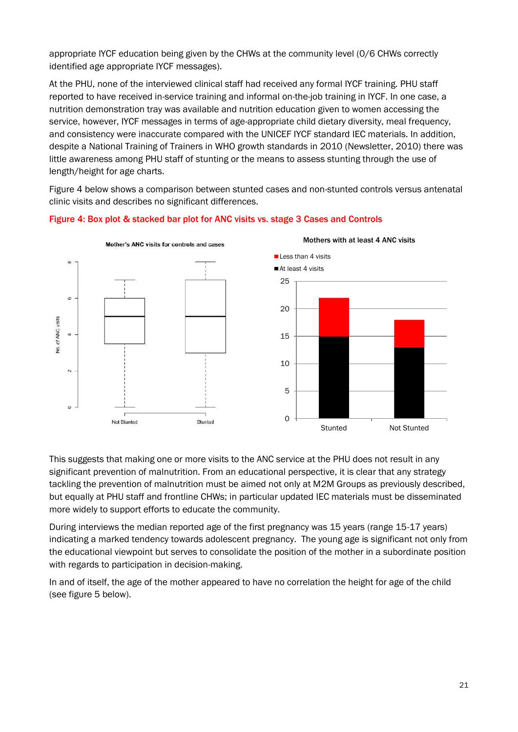appropriate IYCF education being given by the CHWs at the community level (0/6 CHWs correctly identified age appropriate IYCF messages).

At the PHU, none of the interviewed clinical staff had received any formal IYCF training. PHU staff reported to have received in-service training and informal on-the-job training in IYCF. In one case, a nutrition demonstration tray was available and nutrition education given to women accessing the service, however, IYCF messages in terms of age-appropriate child dietary diversity, meal frequency, and consistency were inaccurate compared with the UNICEF IYCF standard IEC materials. In addition, despite a National Training of Trainers in WHO growth standards in 2010 (Newsletter, 2010) there was little awareness among PHU staff of stunting or the means to assess stunting through the use of length/height for age charts.

Figure 4 below shows a comparison between stunted cases and non-stunted controls versus antenatal clinic visits and describes no significant differences.



### <span id="page-28-0"></span>Figure 4: Box plot & stacked bar plot for ANC visits vs. stage 3 Cases and Controls

This suggests that making one or more visits to the ANC service at the PHU does not result in any significant prevention of malnutrition. From an educational perspective, it is clear that any strategy tackling the prevention of malnutrition must be aimed not only at M2M Groups as previously described, but equally at PHU staff and frontline CHWs; in particular updated IEC materials must be disseminated more widely to support efforts to educate the community.

During interviews the median reported age of the first pregnancy was 15 years (range 15-17 years) indicating a marked tendency towards adolescent pregnancy. The young age is significant not only from the educational viewpoint but serves to consolidate the position of the mother in a subordinate position with regards to participation in decision-making.

In and of itself, the age of the mother appeared to have no correlation the height for age of the child (see figure 5 below).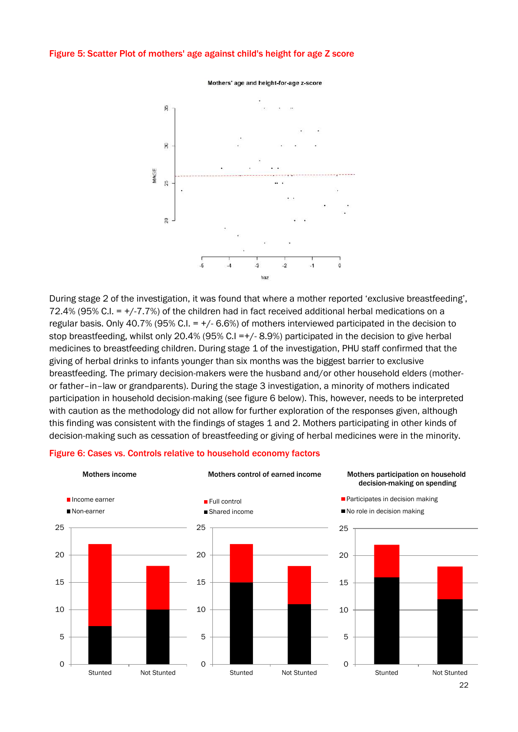#### <span id="page-29-0"></span>Figure 5: Scatter Plot of mothers' age against child's height for age Z score



During stage 2 of the investigation, it was found that where a mother reported 'exclusive breastfeeding', 72.4% (95% C.I. = +/-7.7%) of the children had in fact received additional herbal medications on a regular basis. Only 40.7% (95% C.I. =  $+/$ -6.6%) of mothers interviewed participated in the decision to stop breastfeeding, whilst only 20.4% (95% C.I =+/- 8.9%) participated in the decision to give herbal medicines to breastfeeding children. During stage 1 of the investigation, PHU staff confirmed that the giving of herbal drinks to infants younger than six months was the biggest barrier to exclusive breastfeeding. The primary decision-makers were the husband and/or other household elders (motheror father–in–law or grandparents). During the stage 3 investigation, a minority of mothers indicated participation in household decision-making (see figure 6 below). This, however, needs to be interpreted with caution as the methodology did not allow for further exploration of the responses given, although this finding was consistent with the findings of stages 1 and 2. Mothers participating in other kinds of decision-making such as cessation of breastfeeding or giving of herbal medicines were in the minority.



#### <span id="page-29-1"></span>Figure 6: Cases vs. Controls relative to household economy factors

Mothers' age and height-for-age z-score

<sup>22</sup>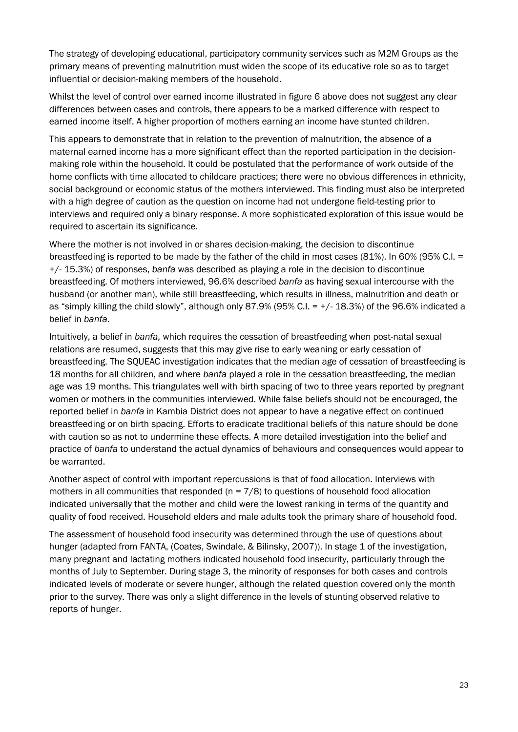The strategy of developing educational, participatory community services such as M2M Groups as the primary means of preventing malnutrition must widen the scope of its educative role so as to target influential or decision-making members of the household.

Whilst the level of control over earned income illustrated in figure 6 above does not suggest any clear differences between cases and controls, there appears to be a marked difference with respect to earned income itself. A higher proportion of mothers earning an income have stunted children.

This appears to demonstrate that in relation to the prevention of malnutrition, the absence of a maternal earned income has a more significant effect than the reported participation in the decisionmaking role within the household. It could be postulated that the performance of work outside of the home conflicts with time allocated to childcare practices; there were no obvious differences in ethnicity, social background or economic status of the mothers interviewed. This finding must also be interpreted with a high degree of caution as the question on income had not undergone field-testing prior to interviews and required only a binary response. A more sophisticated exploration of this issue would be required to ascertain its significance.

Where the mother is not involved in or shares decision-making, the decision to discontinue breastfeeding is reported to be made by the father of the child in most cases (81%). In 60% (95% C.I. = +/- 15.3%) of responses, *banfa* was described as playing a role in the decision to discontinue breastfeeding. Of mothers interviewed, 96.6% described *banfa* as having sexual intercourse with the husband (or another man), while still breastfeeding, which results in illness, malnutrition and death or as "simply killing the child slowly", although only 87.9% (95% C.I. =  $+/$ -18.3%) of the 96.6% indicated a belief in *banfa*.

Intuitively, a belief in *banfa,* which requires the cessation of breastfeeding when post-natal sexual relations are resumed, suggests that this may give rise to early weaning or early cessation of breastfeeding. The SQUEAC investigation indicates that the median age of cessation of breastfeeding is 18 months for all children, and where *banfa* played a role in the cessation breastfeeding, the median age was 19 months. This triangulates well with birth spacing of two to three years reported by pregnant women or mothers in the communities interviewed. While false beliefs should not be encouraged, the reported belief in *banfa* in Kambia District does not appear to have a negative effect on continued breastfeeding or on birth spacing. Efforts to eradicate traditional beliefs of this nature should be done with caution so as not to undermine these effects. A more detailed investigation into the belief and practice of *banfa* to understand the actual dynamics of behaviours and consequences would appear to be warranted.

Another aspect of control with important repercussions is that of food allocation. Interviews with mothers in all communities that responded ( $n = 7/8$ ) to questions of household food allocation indicated universally that the mother and child were the lowest ranking in terms of the quantity and quality of food received. Household elders and male adults took the primary share of household food.

The assessment of household food insecurity was determined through the use of questions about hunger (adapted from FANTA, (Coates, Swindale, & Bilinsky, 2007)). In stage 1 of the investigation, many pregnant and lactating mothers indicated household food insecurity, particularly through the months of July to September. During stage 3, the minority of responses for both cases and controls indicated levels of moderate or severe hunger, although the related question covered only the month prior to the survey. There was only a slight difference in the levels of stunting observed relative to reports of hunger.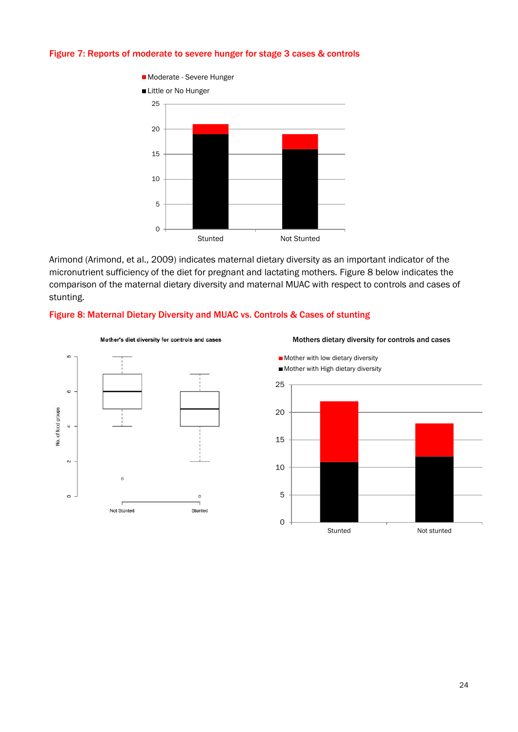### <span id="page-31-0"></span>Figure 7: Reports of moderate to severe hunger for stage 3 cases & controls



Arimond (Arimond, et al., 2009) indicates maternal dietary diversity as an important indicator of the micronutrient sufficiency of the diet for pregnant and lactating mothers. Figure 8 below indicates the comparison of the maternal dietary diversity and maternal MUAC with respect to controls and cases of stunting.

### <span id="page-31-1"></span>Figure 8: Maternal Dietary Diversity and MUAC vs. Controls & Cases of stunting



Mother's diet diversity for controls and cases



Mothers dietary diversity for controls and cases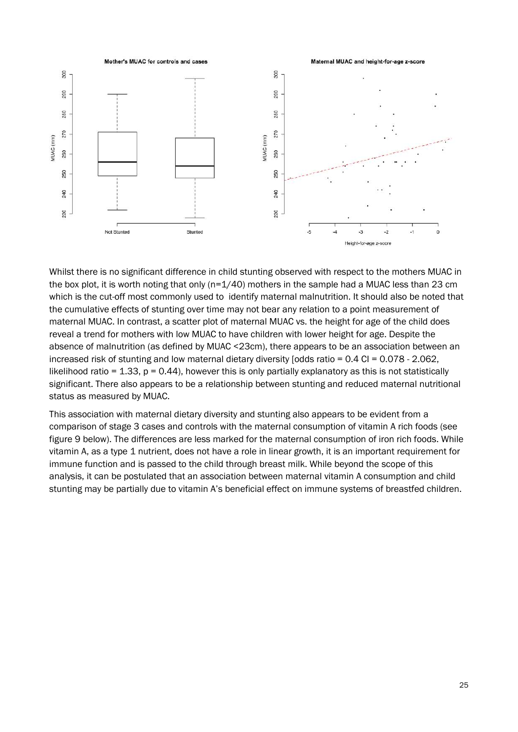

Whilst there is no significant difference in child stunting observed with respect to the mothers MUAC in the box plot, it is worth noting that only (n=1/40) mothers in the sample had a MUAC less than 23 cm which is the cut-off most commonly used to identify maternal malnutrition. It should also be noted that the cumulative effects of stunting over time may not bear any relation to a point measurement of maternal MUAC. In contrast, a scatter plot of maternal MUAC vs. the height for age of the child does reveal a trend for mothers with low MUAC to have children with lower height for age. Despite the absence of malnutrition (as defined by MUAC <23cm), there appears to be an association between an increased risk of stunting and low maternal dietary diversity [odds ratio = 0.4 CI = 0.078 - 2.062, likelihood ratio = 1.33,  $p = 0.44$ ), however this is only partially explanatory as this is not statistically significant. There also appears to be a relationship between stunting and reduced maternal nutritional status as measured by MUAC.

This association with maternal dietary diversity and stunting also appears to be evident from a comparison of stage 3 cases and controls with the maternal consumption of vitamin A rich foods (see figure 9 below). The differences are less marked for the maternal consumption of iron rich foods. While vitamin A, as a type 1 nutrient, does not have a role in linear growth, it is an important requirement for immune function and is passed to the child through breast milk. While beyond the scope of this analysis, it can be postulated that an association between maternal vitamin A consumption and child stunting may be partially due to vitamin A's beneficial effect on immune systems of breastfed children.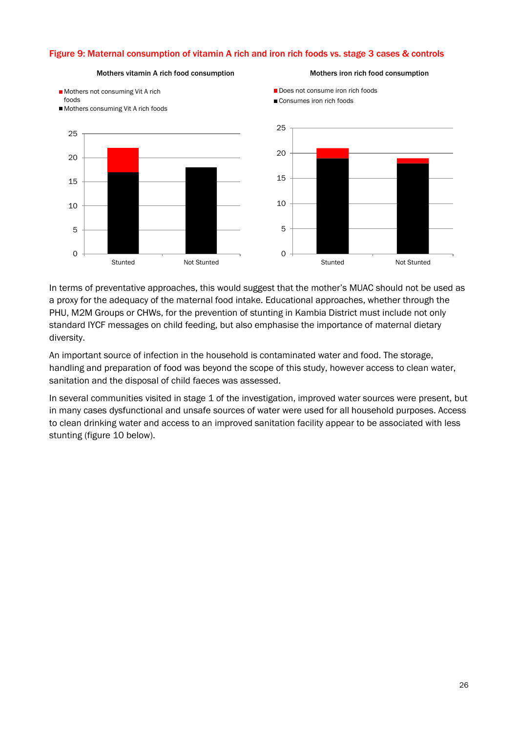# <span id="page-33-0"></span>Figure 9: Maternal consumption of vitamin A rich and iron rich foods vs. stage 3 cases & controls

Mothers vitamin A rich food consumption

#### Mothers iron rich food consumption



In terms of preventative approaches, this would suggest that the mother's MUAC should not be used as a proxy for the adequacy of the maternal food intake. Educational approaches, whether through the PHU, M2M Groups or CHWs, for the prevention of stunting in Kambia District must include not only standard IYCF messages on child feeding, but also emphasise the importance of maternal dietary diversity.

An important source of infection in the household is contaminated water and food. The storage, handling and preparation of food was beyond the scope of this study, however access to clean water, sanitation and the disposal of child faeces was assessed.

In several communities visited in stage 1 of the investigation, improved water sources were present, but in many cases dysfunctional and unsafe sources of water were used for all household purposes. Access to clean drinking water and access to an improved sanitation facility appear to be associated with less stunting (figure 10 below).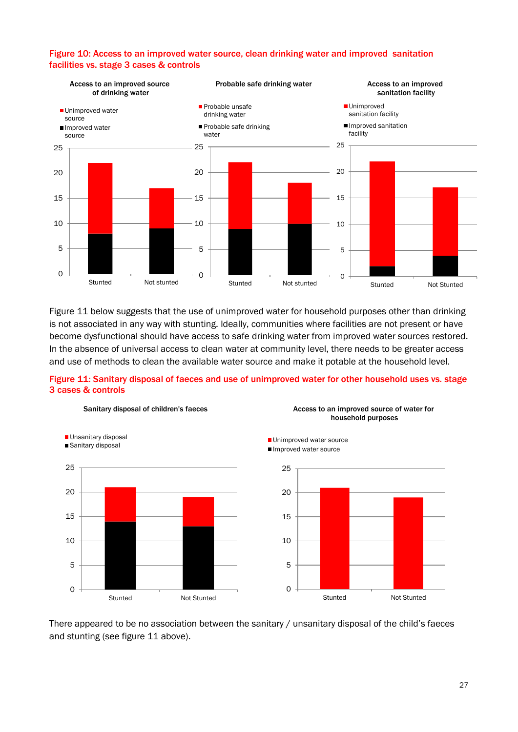

## <span id="page-34-0"></span>Figure 10: Access to an improved water source, clean drinking water and improved sanitation facilities vs. stage 3 cases & controls

Figure 11 below suggests that the use of unimproved water for household purposes other than drinking is not associated in any way with stunting. Ideally, communities where facilities are not present or have become dysfunctional should have access to safe drinking water from improved water sources restored. In the absence of universal access to clean water at community level, there needs to be greater access and use of methods to clean the available water source and make it potable at the household level.

### <span id="page-34-1"></span>Figure 11: Sanitary disposal of faeces and use of unimproved water for other household uses vs. stage 3 cases & controls



There appeared to be no association between the sanitary / unsanitary disposal of the child's faeces and stunting (see figure 11 above).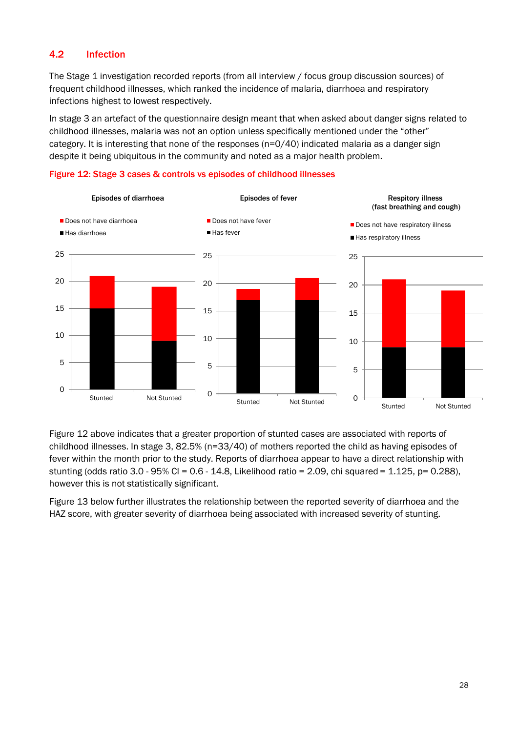# <span id="page-35-0"></span>4.2 Infection

The Stage 1 investigation recorded reports (from all interview / focus group discussion sources) of frequent childhood illnesses, which ranked the incidence of malaria, diarrhoea and respiratory infections highest to lowest respectively.

In stage 3 an artefact of the questionnaire design meant that when asked about danger signs related to childhood illnesses, malaria was not an option unless specifically mentioned under the "other" category. It is interesting that none of the responses (n=0/40) indicated malaria as a danger sign despite it being ubiquitous in the community and noted as a major health problem.

<span id="page-35-1"></span>



Figure 12 above indicates that a greater proportion of stunted cases are associated with reports of childhood illnesses. In stage 3, 82.5% (n=33/40) of mothers reported the child as having episodes of fever within the month prior to the study. Reports of diarrhoea appear to have a direct relationship with stunting (odds ratio 3.0 - 95% CI = 0.6 - 14.8, Likelihood ratio = 2.09, chi squared = 1.125, p= 0.288). however this is not statistically significant.

Figure 13 below further illustrates the relationship between the reported severity of diarrhoea and the HAZ score, with greater severity of diarrhoea being associated with increased severity of stunting.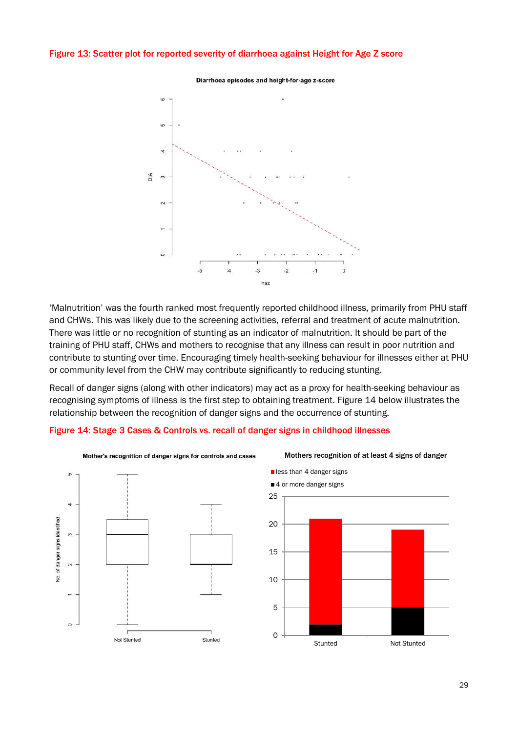#### <span id="page-36-0"></span>Figure 13: Scatter plot for reported severity of diarrhoea against Height for Age Z score



Diarrhoea episodes and height-for-age z-score

'Malnutrition' was the fourth ranked most frequently reported childhood illness, primarily from PHU staff and CHWs. This was likely due to the screening activities, referral and treatment of acute malnutrition. There was little or no recognition of stunting as an indicator of malnutrition. It should be part of the training of PHU staff, CHWs and mothers to recognise that any illness can result in poor nutrition and contribute to stunting over time. Encouraging timely health-seeking behaviour for illnesses either at PHU or community level from the CHW may contribute significantly to reducing stunting.

Recall of danger signs (along with other indicators) may act as a proxy for health-seeking behaviour as recognising symptoms of illness is the first step to obtaining treatment. Figure 14 below illustrates the relationship between the recognition of danger signs and the occurrence of stunting.

#### <span id="page-36-1"></span>Figure 14: Stage 3 Cases & Controls vs. recall of danger signs in childhood illnesses





#### Mothers recognition of at least 4 signs of danger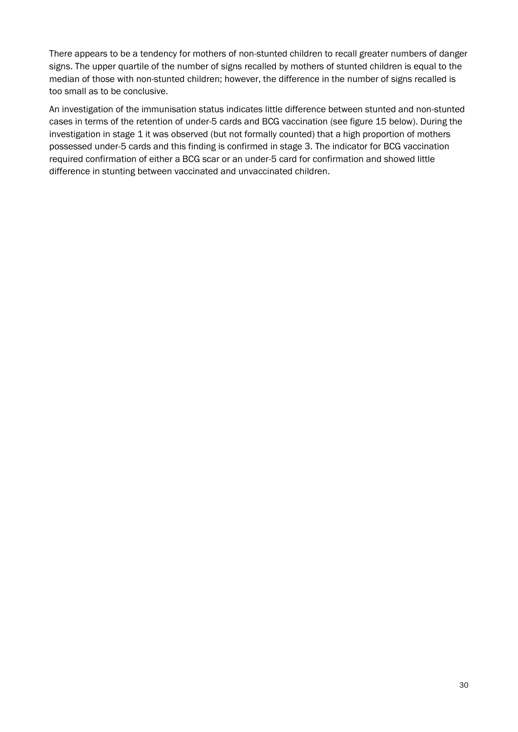There appears to be a tendency for mothers of non-stunted children to recall greater numbers of danger signs. The upper quartile of the number of signs recalled by mothers of stunted children is equal to the median of those with non-stunted children; however, the difference in the number of signs recalled is too small as to be conclusive.

An investigation of the immunisation status indicates little difference between stunted and non-stunted cases in terms of the retention of under-5 cards and BCG vaccination (see figure 15 below). During the investigation in stage 1 it was observed (but not formally counted) that a high proportion of mothers possessed under-5 cards and this finding is confirmed in stage 3. The indicator for BCG vaccination required confirmation of either a BCG scar or an under-5 card for confirmation and showed little difference in stunting between vaccinated and unvaccinated children.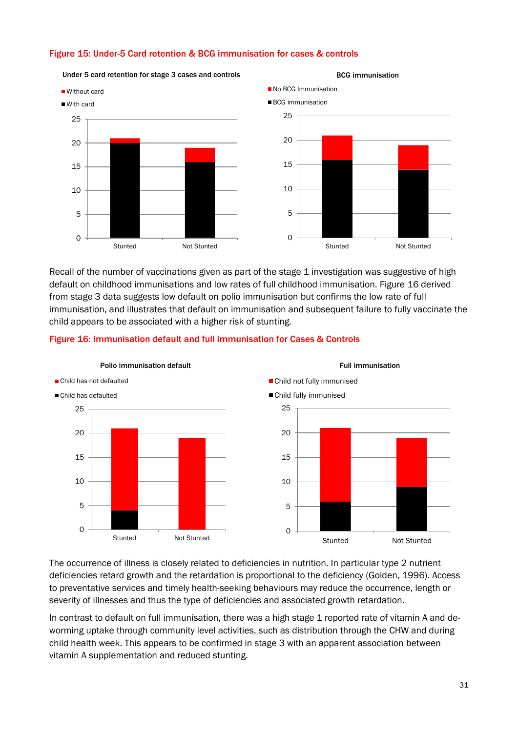### <span id="page-38-0"></span>Figure 15: Under-5 Card retention & BCG immunisation for cases & controls



Recall of the number of vaccinations given as part of the stage 1 investigation was suggestive of high default on childhood immunisations and low rates of full childhood immunisation. Figure 16 derived from stage 3 data suggests low default on polio immunisation but confirms the low rate of full immunisation, and illustrates that default on immunisation and subsequent failure to fully vaccinate the child appears to be associated with a higher risk of stunting.



#### <span id="page-38-1"></span>Figure 16: Immunisation default and full immunisation for Cases & Controls

The occurrence of illness is closely related to deficiencies in nutrition. In particular type 2 nutrient deficiencies retard growth and the retardation is proportional to the deficiency (Golden, 1996). Access to preventative services and timely health-seeking behaviours may reduce the occurrence, length or severity of illnesses and thus the type of deficiencies and associated growth retardation.

In contrast to default on full immunisation, there was a high stage 1 reported rate of vitamin A and deworming uptake through community level activities, such as distribution through the CHW and during child health week. This appears to be confirmed in stage 3 with an apparent association between vitamin A supplementation and reduced stunting.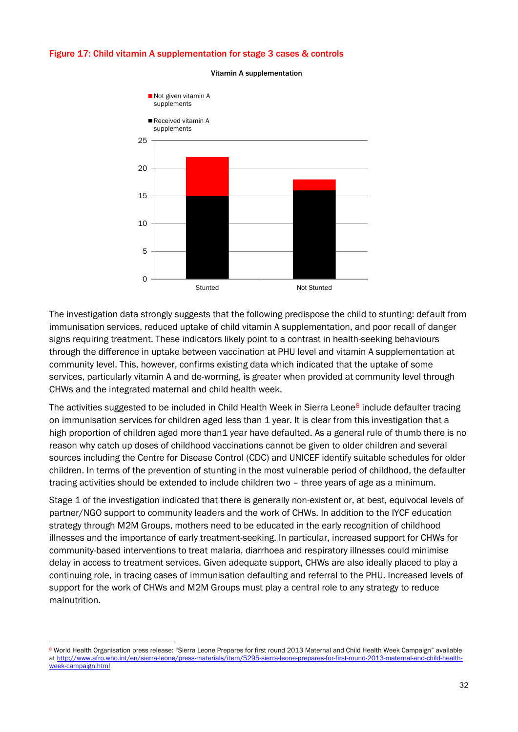#### <span id="page-39-0"></span>Figure 17: Child vitamin A supplementation for stage 3 cases & controls



#### Vitamin A supplementation

The investigation data strongly suggests that the following predispose the child to stunting: default from immunisation services, reduced uptake of child vitamin A supplementation, and poor recall of danger signs requiring treatment. These indicators likely point to a contrast in health-seeking behaviours through the difference in uptake between vaccination at PHU level and vitamin A supplementation at community level. This, however, confirms existing data which indicated that the uptake of some services, particularly vitamin A and de-worming, is greater when provided at community level through CHWs and the integrated maternal and child health week.

The activities suggested to be included in Child Health Week in Sierra Leone<sup>8</sup> include defaulter tracing on immunisation services for children aged less than 1 year. It is clear from this investigation that a high proportion of children aged more than1 year have defaulted. As a general rule of thumb there is no reason why catch up doses of childhood vaccinations cannot be given to older children and several sources including the Centre for Disease Control (CDC) and UNICEF identify suitable schedules for older children. In terms of the prevention of stunting in the most vulnerable period of childhood, the defaulter tracing activities should be extended to include children two – three years of age as a minimum.

Stage 1 of the investigation indicated that there is generally non-existent or, at best, equivocal levels of partner/NGO support to community leaders and the work of CHWs. In addition to the IYCF education strategy through M2M Groups, mothers need to be educated in the early recognition of childhood illnesses and the importance of early treatment-seeking. In particular, increased support for CHWs for community-based interventions to treat malaria, diarrhoea and respiratory illnesses could minimise delay in access to treatment services. Given adequate support, CHWs are also ideally placed to play a continuing role, in tracing cases of immunisation defaulting and referral to the PHU. Increased levels of support for the work of CHWs and M2M Groups must play a central role to any strategy to reduce malnutrition.

<sup>8</sup> World Health Organisation press release: "Sierra Leone Prepares for first round 2013 Maternal and Child Health Week Campaign" available a[t http://www.afro.who.int/en/sierra-leone/press-materials/item/5295-sierra-leone-prepares-for-first-round-2013-maternal-and-child-health](http://www.afro.who.int/en/sierra-leone/press-materials/item/5295-sierra-leone-prepares-for-first-round-2013-maternal-and-child-health-week-campaign.html)[week-campaign.html](http://www.afro.who.int/en/sierra-leone/press-materials/item/5295-sierra-leone-prepares-for-first-round-2013-maternal-and-child-health-week-campaign.html)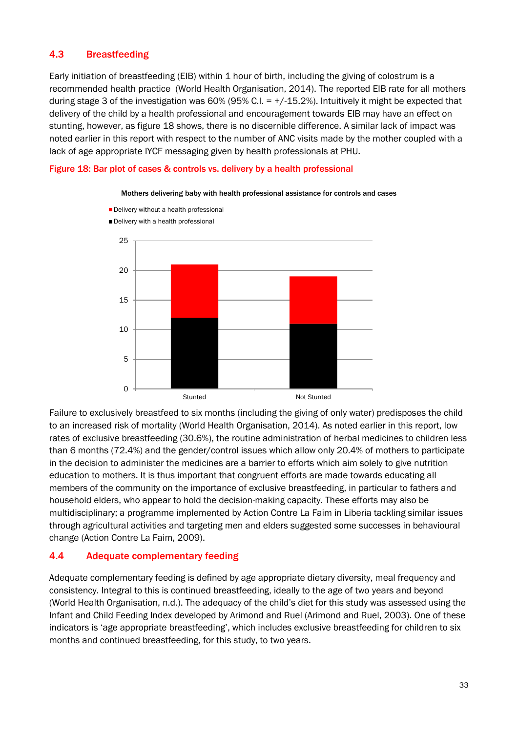# <span id="page-40-0"></span>4.3 Breastfeeding

Early initiation of breastfeeding (EIB) within 1 hour of birth, including the giving of colostrum is a recommended health practice (World Health Organisation, 2014). The reported EIB rate for all mothers during stage 3 of the investigation was  $60\%$  (95% C.I. =  $+/-15.2\%$ ). Intuitively it might be expected that delivery of the child by a health professional and encouragement towards EIB may have an effect on stunting, however, as figure 18 shows, there is no discernible difference. A similar lack of impact was noted earlier in this report with respect to the number of ANC visits made by the mother coupled with a lack of age appropriate IYCF messaging given by health professionals at PHU.

#### <span id="page-40-2"></span>Figure 18: Bar plot of cases & controls vs. delivery by a health professional



Mothers delivering baby with health professional assistance for controls and cases

Failure to exclusively breastfeed to six months (including the giving of only water) predisposes the child to an increased risk of mortality (World Health Organisation, 2014). As noted earlier in this report, low rates of exclusive breastfeeding (30.6%), the routine administration of herbal medicines to children less than 6 months (72.4%) and the gender/control issues which allow only 20.4% of mothers to participate in the decision to administer the medicines are a barrier to efforts which aim solely to give nutrition education to mothers. It is thus important that congruent efforts are made towards educating all members of the community on the importance of exclusive breastfeeding, in particular to fathers and household elders, who appear to hold the decision-making capacity. These efforts may also be multidisciplinary; a programme implemented by Action Contre La Faim in Liberia tackling similar issues through agricultural activities and targeting men and elders suggested some successes in behavioural change (Action Contre La Faim, 2009).

# <span id="page-40-1"></span>4.4 Adequate complementary feeding

Adequate complementary feeding is defined by age appropriate dietary diversity, meal frequency and consistency. Integral to this is continued breastfeeding, ideally to the age of two years and beyond (World Health Organisation, n.d.). The adequacy of the child's diet for this study was assessed using the Infant and Child Feeding Index developed by Arimond and Ruel (Arimond and Ruel, 2003). One of these indicators is 'age appropriate breastfeeding', which includes exclusive breastfeeding for children to six months and continued breastfeeding, for this study, to two years.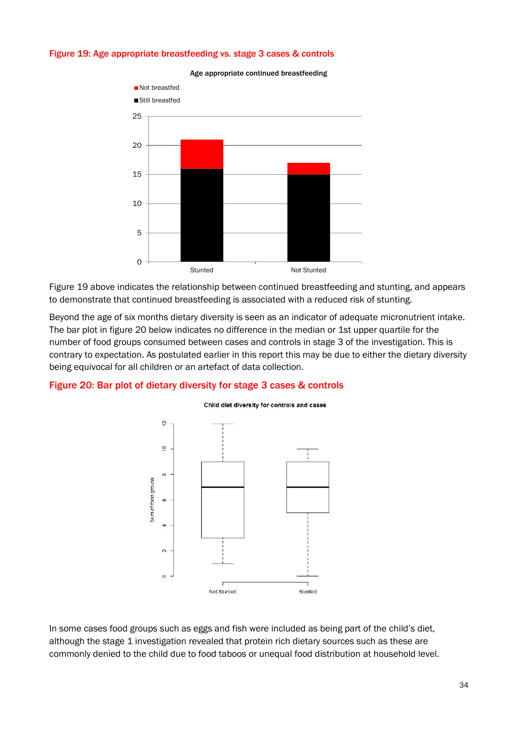#### <span id="page-41-0"></span>Figure 19: Age appropriate breastfeeding vs. stage 3 cases & controls



Age appropriate continued breastfeeding

Figure 19 above indicates the relationship between continued breastfeeding and stunting, and appears to demonstrate that continued breastfeeding is associated with a reduced risk of stunting.

Beyond the age of six months dietary diversity is seen as an indicator of adequate micronutrient intake. The bar plot in figure 20 below indicates no difference in the median or 1st upper quartile for the number of food groups consumed between cases and controls in stage 3 of the investigation. This is contrary to expectation. As postulated earlier in this report this may be due to either the dietary diversity being equivocal for all children or an artefact of data collection.

#### <span id="page-41-1"></span>Figure 20: Bar plot of dietary diversity for stage 3 cases & controls



#### Child diet diversity for controls and cases

In some cases food groups such as eggs and fish were included as being part of the child's diet, although the stage 1 investigation revealed that protein rich dietary sources such as these are commonly denied to the child due to food taboos or unequal food distribution at household level.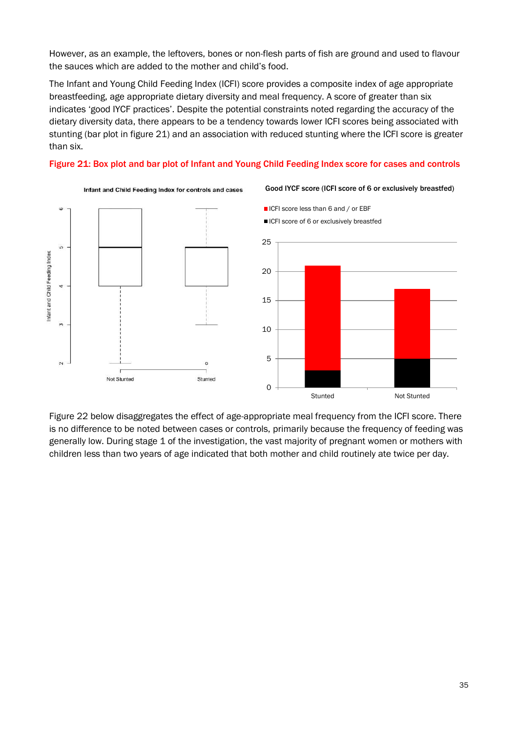However, as an example, the leftovers, bones or non-flesh parts of fish are ground and used to flavour the sauces which are added to the mother and child's food.

The Infant and Young Child Feeding Index (ICFI) score provides a composite index of age appropriate breastfeeding, age appropriate dietary diversity and meal frequency. A score of greater than six indicates 'good IYCF practices'. Despite the potential constraints noted regarding the accuracy of the dietary diversity data, there appears to be a tendency towards lower ICFI scores being associated with stunting (bar plot in figure 21) and an association with reduced stunting where the ICFI score is greater than six.

#### <span id="page-42-0"></span>Figure 21: Box plot and bar plot of Infant and Young Child Feeding Index score for cases and controls



Figure 22 below disaggregates the effect of age-appropriate meal frequency from the ICFI score. There is no difference to be noted between cases or controls, primarily because the frequency of feeding was generally low. During stage 1 of the investigation, the vast majority of pregnant women or mothers with children less than two years of age indicated that both mother and child routinely ate twice per day.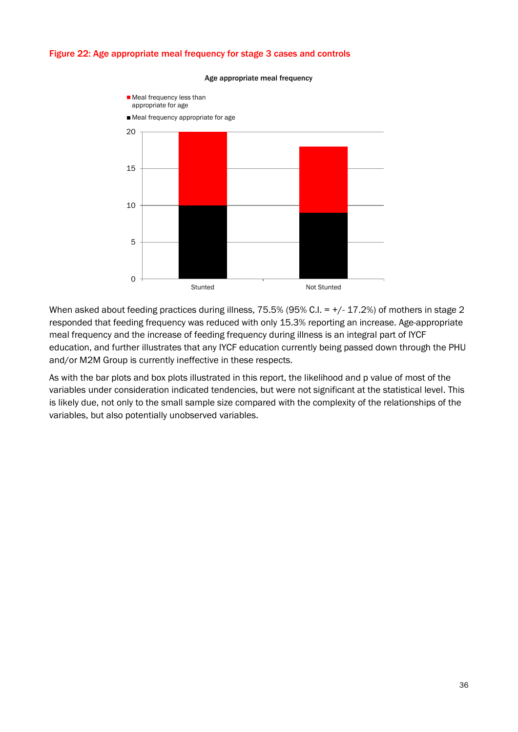## <span id="page-43-0"></span>Figure 22: Age appropriate meal frequency for stage 3 cases and controls



#### Age appropriate meal frequency

When asked about feeding practices during illness, 75.5% (95% C.I. = +/- 17.2%) of mothers in stage 2 responded that feeding frequency was reduced with only 15.3% reporting an increase. Age-appropriate meal frequency and the increase of feeding frequency during illness is an integral part of IYCF education, and further illustrates that any IYCF education currently being passed down through the PHU and/or M2M Group is currently ineffective in these respects.

As with the bar plots and box plots illustrated in this report, the likelihood and p value of most of the variables under consideration indicated tendencies, but were not significant at the statistical level. This is likely due, not only to the small sample size compared with the complexity of the relationships of the variables, but also potentially unobserved variables.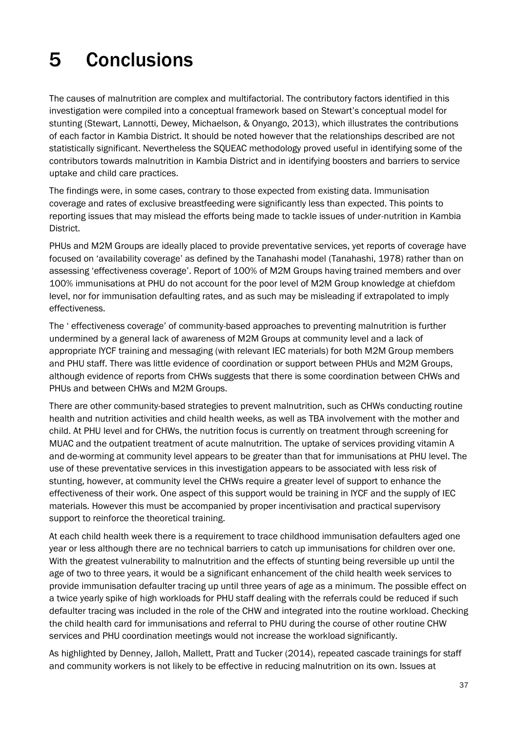# <span id="page-44-0"></span>5 Conclusions

The causes of malnutrition are complex and multifactorial. The contributory factors identified in this investigation were compiled into a conceptual framework based on Stewart's conceptual model for stunting (Stewart, Lannotti, Dewey, Michaelson, & Onyango, 2013), which illustrates the contributions of each factor in Kambia District. It should be noted however that the relationships described are not statistically significant. Nevertheless the SQUEAC methodology proved useful in identifying some of the contributors towards malnutrition in Kambia District and in identifying boosters and barriers to service uptake and child care practices.

The findings were, in some cases, contrary to those expected from existing data. Immunisation coverage and rates of exclusive breastfeeding were significantly less than expected. This points to reporting issues that may mislead the efforts being made to tackle issues of under-nutrition in Kambia District.

PHUs and M2M Groups are ideally placed to provide preventative services, yet reports of coverage have focused on 'availability coverage' as defined by the Tanahashi model (Tanahashi, 1978) rather than on assessing 'effectiveness coverage'. Report of 100% of M2M Groups having trained members and over 100% immunisations at PHU do not account for the poor level of M2M Group knowledge at chiefdom level, nor for immunisation defaulting rates, and as such may be misleading if extrapolated to imply effectiveness.

The ' effectiveness coverage' of community-based approaches to preventing malnutrition is further undermined by a general lack of awareness of M2M Groups at community level and a lack of appropriate IYCF training and messaging (with relevant IEC materials) for both M2M Group members and PHU staff. There was little evidence of coordination or support between PHUs and M2M Groups, although evidence of reports from CHWs suggests that there is some coordination between CHWs and PHUs and between CHWs and M2M Groups.

There are other community-based strategies to prevent malnutrition, such as CHWs conducting routine health and nutrition activities and child health weeks, as well as TBA involvement with the mother and child. At PHU level and for CHWs, the nutrition focus is currently on treatment through screening for MUAC and the outpatient treatment of acute malnutrition. The uptake of services providing vitamin A and de-worming at community level appears to be greater than that for immunisations at PHU level. The use of these preventative services in this investigation appears to be associated with less risk of stunting, however, at community level the CHWs require a greater level of support to enhance the effectiveness of their work. One aspect of this support would be training in IYCF and the supply of IEC materials. However this must be accompanied by proper incentivisation and practical supervisory support to reinforce the theoretical training.

At each child health week there is a requirement to trace childhood immunisation defaulters aged one year or less although there are no technical barriers to catch up immunisations for children over one. With the greatest vulnerability to malnutrition and the effects of stunting being reversible up until the age of two to three years, it would be a significant enhancement of the child health week services to provide immunisation defaulter tracing up until three years of age as a minimum. The possible effect on a twice yearly spike of high workloads for PHU staff dealing with the referrals could be reduced if such defaulter tracing was included in the role of the CHW and integrated into the routine workload. Checking the child health card for immunisations and referral to PHU during the course of other routine CHW services and PHU coordination meetings would not increase the workload significantly.

As highlighted by Denney, Jalloh, Mallett, Pratt and Tucker (2014), repeated cascade trainings for staff and community workers is not likely to be effective in reducing malnutrition on its own. Issues at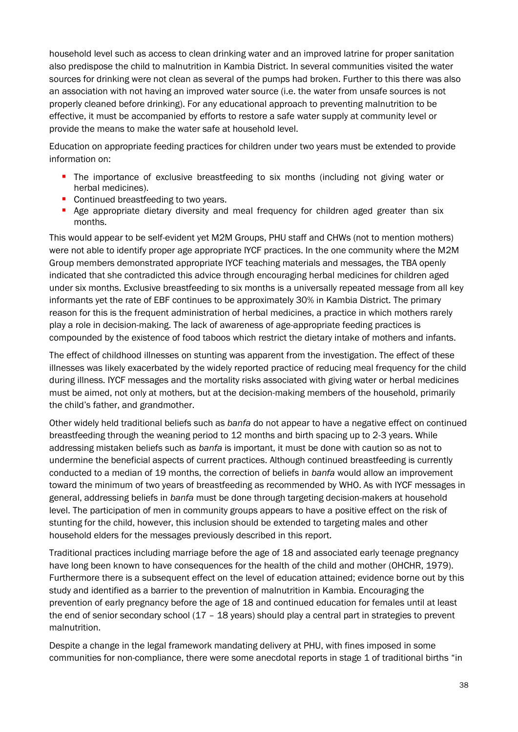household level such as access to clean drinking water and an improved latrine for proper sanitation also predispose the child to malnutrition in Kambia District. In several communities visited the water sources for drinking were not clean as several of the pumps had broken. Further to this there was also an association with not having an improved water source (i.e. the water from unsafe sources is not properly cleaned before drinking). For any educational approach to preventing malnutrition to be effective, it must be accompanied by efforts to restore a safe water supply at community level or provide the means to make the water safe at household level.

Education on appropriate feeding practices for children under two years must be extended to provide information on:

- **The importance of exclusive breastfeeding to six months (including not giving water or** herbal medicines).
- Continued breastfeeding to two years.
- **Age appropriate dietary diversity and meal frequency for children aged greater than six** months.

This would appear to be self-evident yet M2M Groups, PHU staff and CHWs (not to mention mothers) were not able to identify proper age appropriate IYCF practices. In the one community where the M2M Group members demonstrated appropriate IYCF teaching materials and messages, the TBA openly indicated that she contradicted this advice through encouraging herbal medicines for children aged under six months. Exclusive breastfeeding to six months is a universally repeated message from all key informants yet the rate of EBF continues to be approximately 30% in Kambia District. The primary reason for this is the frequent administration of herbal medicines, a practice in which mothers rarely play a role in decision-making. The lack of awareness of age-appropriate feeding practices is compounded by the existence of food taboos which restrict the dietary intake of mothers and infants.

The effect of childhood illnesses on stunting was apparent from the investigation. The effect of these illnesses was likely exacerbated by the widely reported practice of reducing meal frequency for the child during illness. IYCF messages and the mortality risks associated with giving water or herbal medicines must be aimed, not only at mothers, but at the decision-making members of the household, primarily the child's father, and grandmother.

Other widely held traditional beliefs such as *banfa* do not appear to have a negative effect on continued breastfeeding through the weaning period to 12 months and birth spacing up to 2-3 years. While addressing mistaken beliefs such as *banfa* is important, it must be done with caution so as not to undermine the beneficial aspects of current practices. Although continued breastfeeding is currently conducted to a median of 19 months, the correction of beliefs in *banfa* would allow an improvement toward the minimum of two years of breastfeeding as recommended by WHO. As with IYCF messages in general, addressing beliefs in *banfa* must be done through targeting decision-makers at household level. The participation of men in community groups appears to have a positive effect on the risk of stunting for the child, however, this inclusion should be extended to targeting males and other household elders for the messages previously described in this report.

Traditional practices including marriage before the age of 18 and associated early teenage pregnancy have long been known to have consequences for the health of the child and mother (OHCHR, 1979). Furthermore there is a subsequent effect on the level of education attained; evidence borne out by this study and identified as a barrier to the prevention of malnutrition in Kambia. Encouraging the prevention of early pregnancy before the age of 18 and continued education for females until at least the end of senior secondary school (17 - 18 years) should play a central part in strategies to prevent malnutrition.

Despite a change in the legal framework mandating delivery at PHU, with fines imposed in some communities for non-compliance, there were some anecdotal reports in stage 1 of traditional births "in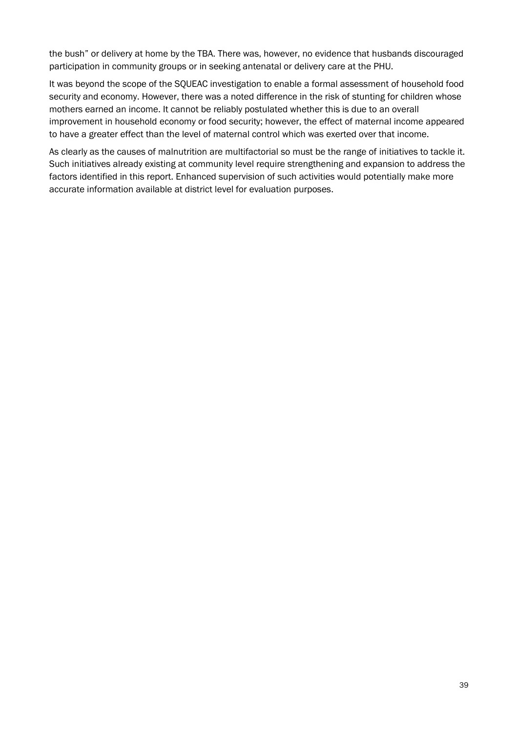the bush" or delivery at home by the TBA. There was, however, no evidence that husbands discouraged participation in community groups or in seeking antenatal or delivery care at the PHU.

It was beyond the scope of the SQUEAC investigation to enable a formal assessment of household food security and economy. However, there was a noted difference in the risk of stunting for children whose mothers earned an income. It cannot be reliably postulated whether this is due to an overall improvement in household economy or food security; however, the effect of maternal income appeared to have a greater effect than the level of maternal control which was exerted over that income.

As clearly as the causes of malnutrition are multifactorial so must be the range of initiatives to tackle it. Such initiatives already existing at community level require strengthening and expansion to address the factors identified in this report. Enhanced supervision of such activities would potentially make more accurate information available at district level for evaluation purposes.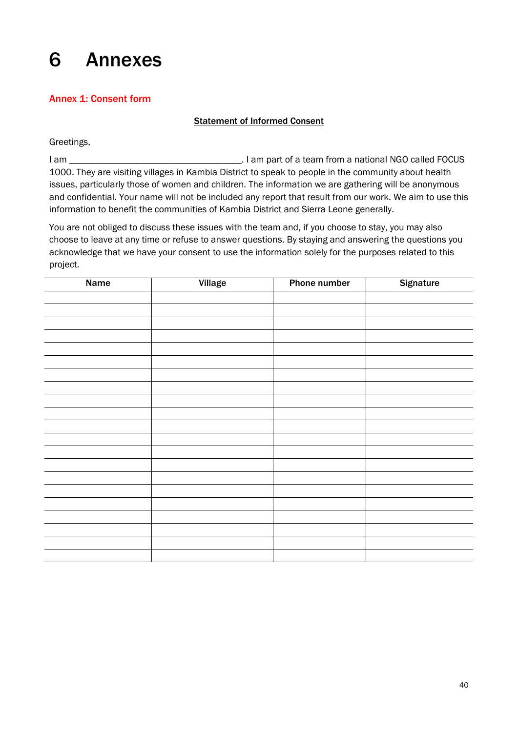# <span id="page-47-0"></span>6 Annexes

# <span id="page-47-1"></span>Annex 1: Consent form

# Statement of Informed Consent

Greetings,

I am \_\_\_\_\_\_\_\_\_\_\_\_\_\_\_\_\_\_\_\_\_\_\_\_\_\_\_\_\_\_\_\_\_\_\_\_. I am part of a team from a national NGO called FOCUS 1000. They are visiting villages in Kambia District to speak to people in the community about health issues, particularly those of women and children. The information we are gathering will be anonymous and confidential. Your name will not be included any report that result from our work. We aim to use this information to benefit the communities of Kambia District and Sierra Leone generally.

You are not obliged to discuss these issues with the team and, if you choose to stay, you may also choose to leave at any time or refuse to answer questions. By staying and answering the questions you acknowledge that we have your consent to use the information solely for the purposes related to this project.

| <b>Name</b> | <b>Village</b> | <b>Phone number</b> | <b>Signature</b> |
|-------------|----------------|---------------------|------------------|
|             |                |                     |                  |
|             |                |                     |                  |
|             |                |                     |                  |
|             |                |                     |                  |
|             |                |                     |                  |
|             |                |                     |                  |
|             |                |                     |                  |
|             |                |                     |                  |
|             |                |                     |                  |
|             |                |                     |                  |
|             |                |                     |                  |
|             |                |                     |                  |
|             |                |                     |                  |
|             |                |                     |                  |
|             |                |                     |                  |
|             |                |                     |                  |
|             |                |                     |                  |
|             |                |                     |                  |
|             |                |                     |                  |
|             |                |                     |                  |
|             |                |                     |                  |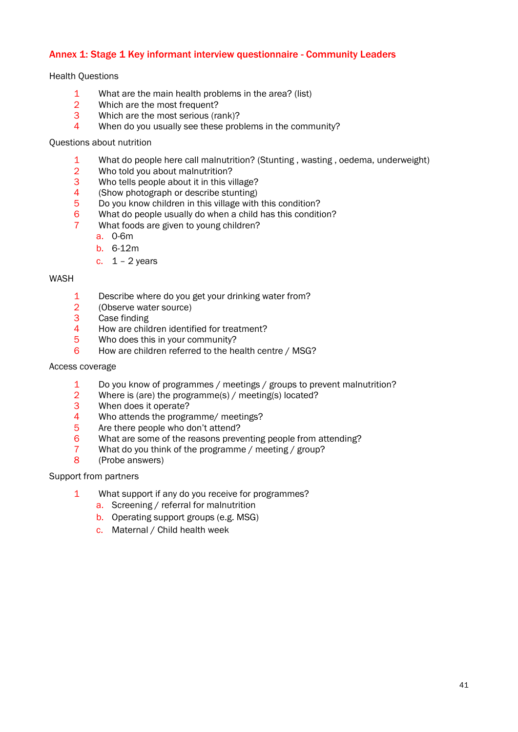# <span id="page-48-0"></span>Annex 1: Stage 1 Key informant interview questionnaire - Community Leaders

#### Health Questions

- 1 What are the main health problems in the area? (list)
- 2 Which are the most frequent?
- 3 Which are the most serious (rank)?
- 4 When do you usually see these problems in the community?

#### Questions about nutrition

- 1 What do people here call malnutrition? (Stunting, wasting, oedema, underweight)<br>2 Who told vou about malnutrition?
- Who told you about malnutrition?
- 3 Who tells people about it in this village?
- 4 (Show photograph or describe stunting)
- 5 Do you know children in this village with this condition?
- 6 What do people usually do when a child has this condition?
- 7 What foods are given to young children?
	- a. 0-6m
	- b. 6-12m
	- c.  $1 2$  years

#### WASH

- 1 Describe where do you get your drinking water from?<br>2 (Observe water source)
- (Observe water source)
- 3 Case finding
- 4 How are children identified for treatment?
- 5 Who does this in your community?
- 6 How are children referred to the health centre / MSG?

# Access coverage

- 1 Do you know of programmes / meetings / groups to prevent malnutrition?<br>2 Where is (are) the programme(s) / meeting(s) located?
- Where is (are) the programme(s) / meeting(s) located?
- 3 When does it operate?
- 4 Who attends the programme/ meetings?
- 5 Are there people who don't attend?
- 6 What are some of the reasons preventing people from attending?
- 7 What do you think of the programme / meeting / group?
- 8 (Probe answers)

#### Support from partners

- 1 What support if any do you receive for programmes?
	- a. Screening / referral for malnutrition
	- b. Operating support groups (e.g. MSG)
	- c. Maternal / Child health week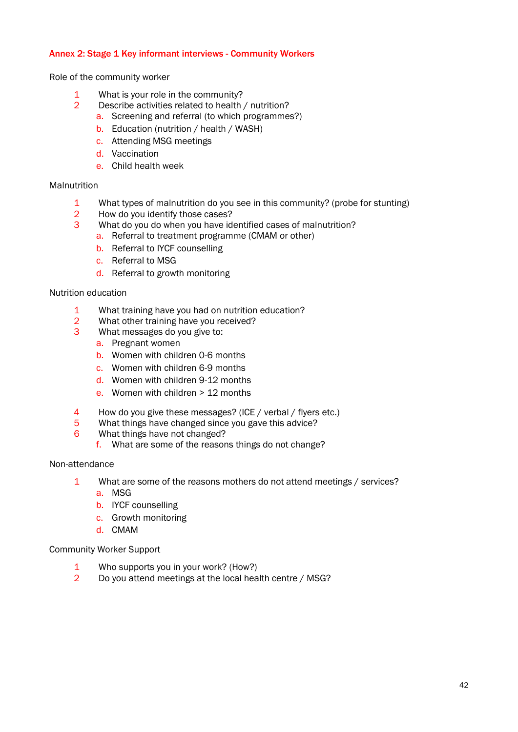## Annex 2: Stage 1 Key informant interviews - Community Workers

Role of the community worker

- 1 What is your role in the community?
- 2 Describe activities related to health / nutrition?
	- a. Screening and referral (to which programmes?)
	- b. Education (nutrition / health / WASH)
	- c. Attending MSG meetings
	- d. Vaccination
	- e. Child health week

#### **Malnutrition**

- 1 What types of malnutrition do you see in this community? (probe for stunting)<br>2 How do you identify those cases?
- How do you identify those cases?
- 3 What do you do when you have identified cases of malnutrition?
	- a. Referral to treatment programme (CMAM or other)
	- b. Referral to IYCF counselling
	- c. Referral to MSG
	- d. Referral to growth monitoring

#### Nutrition education

- 1 What training have you had on nutrition education?
- 2 What other training have you received?<br>3 What messages do you give to:
- What messages do you give to:
	- a. Pregnant women
	- b. Women with children 0-6 months
	- c. Women with children 6-9 months
	- d. Women with children 9-12 months
	- e. Women with children > 12 months
- 4 How do you give these messages? (ICE / verbal / flyers etc.)
- 5 What things have changed since you gave this advice?
- 6 What things have not changed?
	- f. What are some of the reasons things do not change?

#### Non-attendance

- 1 What are some of the reasons mothers do not attend meetings / services?
	- a. MSG
	- b. IYCF counselling
	- c. Growth monitoring
	- d. CMAM

#### Community Worker Support

- 1 Who supports you in your work? (How?)
- 2 Do you attend meetings at the local health centre / MSG?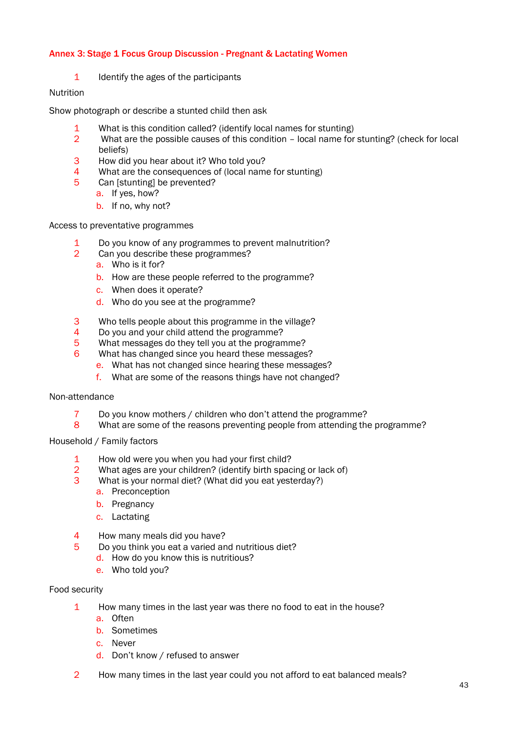# Annex 3: Stage 1 Focus Group Discussion - Pregnant & Lactating Women

1 Identify the ages of the participants

### Nutrition

Show photograph or describe a stunted child then ask

- 1 What is this condition called? (identify local names for stunting)
- 2 What are the possible causes of this condition local name for stunting? (check for local beliefs)
- 3 How did you hear about it? Who told you?
- 4 What are the consequences of (local name for stunting)
- 5 Can [stunting] be prevented?
	- a. If yes, how?
	- b. If no, why not?

Access to preventative programmes

- 1 Do you know of any programmes to prevent malnutrition?
- 2 Can you describe these programmes?
	- a. Who is it for?
	- b. How are these people referred to the programme?
	- c. When does it operate?
	- d. Who do you see at the programme?
- 3 Who tells people about this programme in the village?
- 4 Do you and your child attend the programme?
- 5 What messages do they tell you at the programme?
- 6 What has changed since you heard these messages?
	- e. What has not changed since hearing these messages?
	- f. What are some of the reasons things have not changed?

#### Non-attendance

- 7 Do you know mothers / children who don't attend the programme?
- 8 What are some of the reasons preventing people from attending the programme?

Household / Family factors

- 1 How old were you when you had your first child?
- 2 What ages are your children? (identify birth spacing or lack of)
- 3 What is your normal diet? (What did you eat yesterday?)
	- a. Preconception
	- b. Pregnancy
	- c. Lactating
- 4 How many meals did you have?
- 5 Do you think you eat a varied and nutritious diet?
	- d. How do you know this is nutritious?
	- e. Who told you?

#### Food security

- 1 How many times in the last year was there no food to eat in the house?
	- a. Often
	- b. Sometimes
	- c. Never
	- d. Don't know / refused to answer
- 2 How many times in the last year could you not afford to eat balanced meals?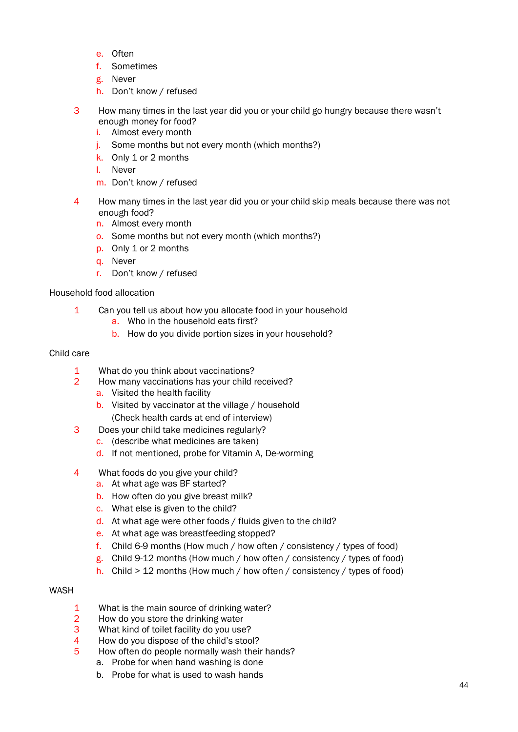- e. Often
- f. Sometimes
- g. Never
- h. Don't know / refused
- 3 How many times in the last year did you or your child go hungry because there wasn't enough money for food?
	- i. Almost every month
	- j. Some months but not every month (which months?)
	- k. Only 1 or 2 months
	- l. Never
	- m. Don't know / refused
- 4 How many times in the last year did you or your child skip meals because there was not enough food?
	- n. Almost every month
	- o. Some months but not every month (which months?)
	- p. Only 1 or 2 months
	- q. Never
	- r. Don't know / refused

# Household food allocation

- 1 Can you tell us about how you allocate food in your household
	- a. Who in the household eats first?
	- b. How do you divide portion sizes in your household?

#### Child care

- 1 What do you think about vaccinations?
- 2 How many vaccinations has your child received?
	- a. Visited the health facility
	- b. Visited by vaccinator at the village / household (Check health cards at end of interview)
- 3 Does your child take medicines regularly?
	- c. (describe what medicines are taken)
	- d. If not mentioned, probe for Vitamin A, De-worming
- 4 What foods do you give your child?
	- a. At what age was BF started?
	- b. How often do you give breast milk?
	- c. What else is given to the child?
	- d. At what age were other foods / fluids given to the child?
	- e. At what age was breastfeeding stopped?
	- f. Child 6-9 months (How much / how often / consistency / types of food)
	- g. Child 9-12 months (How much / how often / consistency / types of food)
	- h. Child > 12 months (How much / how often / consistency / types of food)

#### WASH

- 1 What is the main source of drinking water?
- 2 How do you store the drinking water
- 3 What kind of toilet facility do you use?
- 4 How do you dispose of the child's stool?
- 5 How often do people normally wash their hands?
	- a. Probe for when hand washing is done
	- b. Probe for what is used to wash hands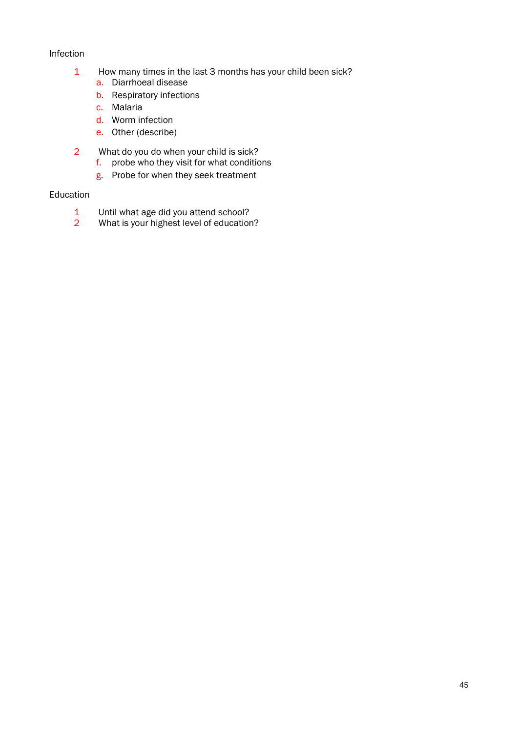# Infection

- 1 How many times in the last 3 months has your child been sick?
	- a. Diarrhoeal disease
	- b. Respiratory infections
	- c. Malaria
	- d. Worm infection
	- e. Other (describe)
- 2 What do you do when your child is sick? f. probe who they visit for what conditions
	- g. Probe for when they seek treatment

# Education

- 1 Until what age did you attend school?
- 2 What is your highest level of education?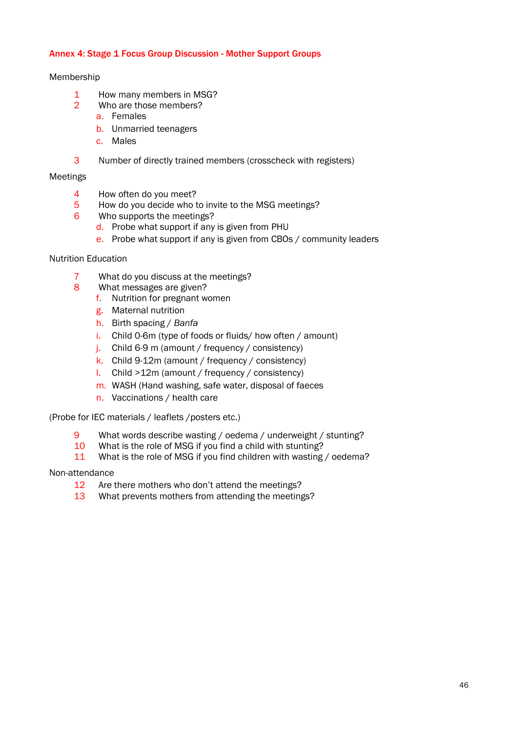# Annex 4: Stage 1 Focus Group Discussion - Mother Support Groups

#### Membership

- 1 How many members in MSG?
- 2 Who are those members?
	- a. Females
	- b. Unmarried teenagers
	- c. Males
- 3 Number of directly trained members (crosscheck with registers)

# Meetings

- 4 How often do you meet?
- 5 How do you decide who to invite to the MSG meetings?
- 6 Who supports the meetings?
	- d. Probe what support if any is given from PHU
	- e. Probe what support if any is given from CBOs / community leaders

### Nutrition Education

- 7 What do you discuss at the meetings?
- 8 What messages are given?
	- f. Nutrition for pregnant women
		- g. Maternal nutrition
		- h. Birth spacing / *Banfa*
		- i. Child 0-6m (type of foods or fluids/ how often / amount)
	- j. Child 6-9 m (amount / frequency / consistency)
	- k. Child 9-12m (amount / frequency / consistency)
	- l. Child >12m (amount / frequency / consistency)
	- m. WASH (Hand washing, safe water, disposal of faeces
	- n. Vaccinations / health care

(Probe for IEC materials / leaflets /posters etc.)

- 9 What words describe wasting / oedema / underweight / stunting?
- 10 What is the role of MSG if you find a child with stunting?
- 11 What is the role of MSG if you find children with wasting / oedema?

# Non-attendance

- 12 Are there mothers who don't attend the meetings?
- 13 What prevents mothers from attending the meetings?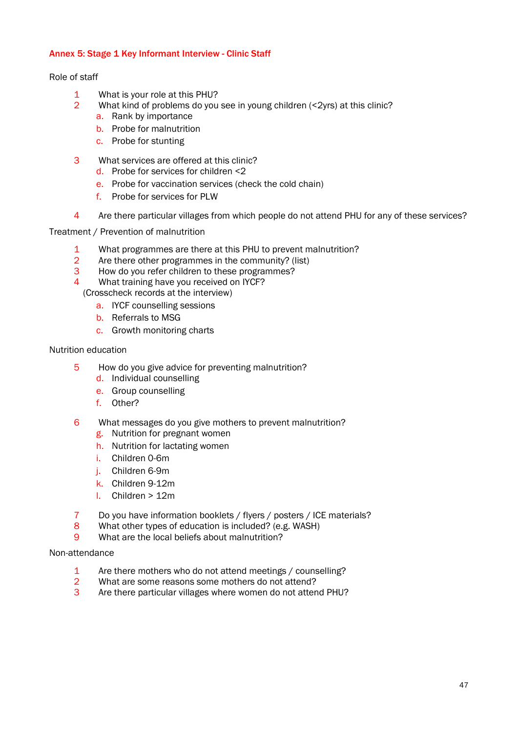# Annex 5: Stage 1 Key Informant Interview - Clinic Staff

#### Role of staff

- 1 What is your role at this PHU?
- 2 What kind of problems do you see in young children (<2yrs) at this clinic?
	- a. Rank by importance
	- b. Probe for malnutrition
	- c. Probe for stunting
- 3 What services are offered at this clinic?
	- d. Probe for services for children <2
	- e. Probe for vaccination services (check the cold chain)
	- f. Probe for services for PLW
- 4 Are there particular villages from which people do not attend PHU for any of these services?

Treatment / Prevention of malnutrition

- 1 What programmes are there at this PHU to prevent malnutrition?
- 2 Are there other programmes in the community? (list)
- 3 How do you refer children to these programmes?
- 4 What training have you received on IYCF?

(Crosscheck records at the interview)

- a. IYCF counselling sessions
- b. Referrals to MSG
- c. Growth monitoring charts

#### Nutrition education

- 5 How do you give advice for preventing malnutrition?
	- d. Individual counselling
	- e. Group counselling
	- f. Other?
- 6 What messages do you give mothers to prevent malnutrition?
	- g. Nutrition for pregnant women
	- h. Nutrition for lactating women
	- i. Children 0-6m
	- j. Children 6-9m
	- k. Children 9-12m
	- l. Children > 12m
- 7 Do you have information booklets / flyers / posters / ICE materials?
- 8 What other types of education is included? (e.g. WASH)
- 9 What are the local beliefs about malnutrition?

#### Non-attendance

- 1 Are there mothers who do not attend meetings / counselling?
- 2 What are some reasons some mothers do not attend?
- 3 Are there particular villages where women do not attend PHU?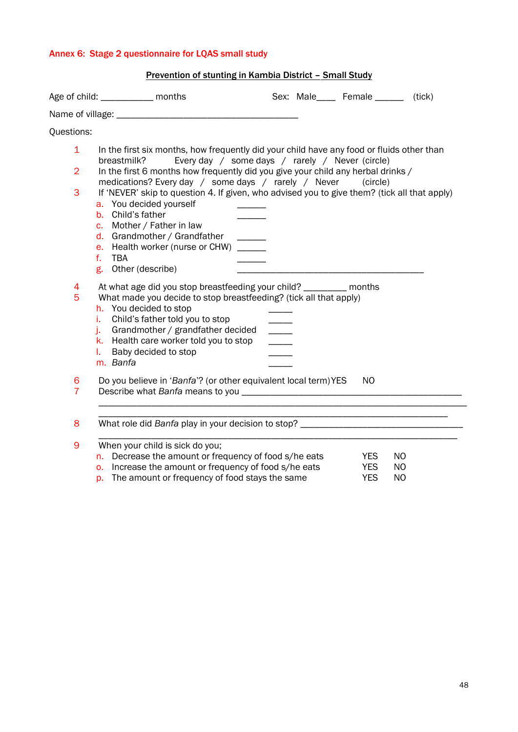# Annex 6: Stage 2 questionnaire for LQAS small study

| Prevention of stunting in Kambia District - Small Study |                                                                                                                                                                                                                                                                                                                                            |               |                             |                                        |                              |  |  |  |  |  |
|---------------------------------------------------------|--------------------------------------------------------------------------------------------------------------------------------------------------------------------------------------------------------------------------------------------------------------------------------------------------------------------------------------------|---------------|-----------------------------|----------------------------------------|------------------------------|--|--|--|--|--|
|                                                         | Age of child: _____________ months                                                                                                                                                                                                                                                                                                         |               | Sex: Male____ Female ______ |                                        | (tick)                       |  |  |  |  |  |
|                                                         |                                                                                                                                                                                                                                                                                                                                            |               |                             |                                        |                              |  |  |  |  |  |
| Questions:                                              |                                                                                                                                                                                                                                                                                                                                            |               |                             |                                        |                              |  |  |  |  |  |
| $\mathbf 1$                                             | In the first six months, how frequently did your child have any food or fluids other than                                                                                                                                                                                                                                                  |               |                             |                                        |                              |  |  |  |  |  |
| $\overline{2}$                                          | Every day / some days / rarely / Never (circle)<br>breastmilk?<br>In the first 6 months how frequently did you give your child any herbal drinks /<br>medications? Every day / some days / rarely / Never                                                                                                                                  |               |                             | (circle)                               |                              |  |  |  |  |  |
| 3                                                       | If 'NEVER' skip to question 4. If given, who advised you to give them? (tick all that apply)<br>a. You decided yourself<br>b. Child's father<br>c. Mother / Father in law<br>d. Grandmother / Grandfather<br>$\overline{\phantom{a}}$<br>e. Health worker (nurse or CHW) ______<br>f.<br><b>TBA</b><br>g. Other (describe)                 |               |                             |                                        |                              |  |  |  |  |  |
| 4<br>5                                                  | At what age did you stop breastfeeding your child? _________ months<br>What made you decide to stop breastfeeding? (tick all that apply)<br>h. You decided to stop<br>Child's father told you to stop<br>i.<br>Grandmother / grandfather decided<br>j.<br>k. Health care worker told you to stop<br>Baby decided to stop<br>ı.<br>m. Banfa | $\frac{1}{2}$ |                             |                                        |                              |  |  |  |  |  |
| 6<br>$\overline{7}$                                     | Do you believe in 'Banfa'? (or other equivalent local term) YES                                                                                                                                                                                                                                                                            |               |                             | N <sub>O</sub>                         |                              |  |  |  |  |  |
| 8                                                       | What role did Banfa play in your decision to stop? _____________________________                                                                                                                                                                                                                                                           |               |                             |                                        |                              |  |  |  |  |  |
| 9                                                       | When your child is sick do you;<br>n. Decrease the amount or frequency of food s/he eats<br>o. Increase the amount or frequency of food s/he eats<br>p. The amount or frequency of food stays the same                                                                                                                                     |               |                             | <b>YES</b><br><b>YES</b><br><b>YES</b> | NO<br><b>NO</b><br><b>NO</b> |  |  |  |  |  |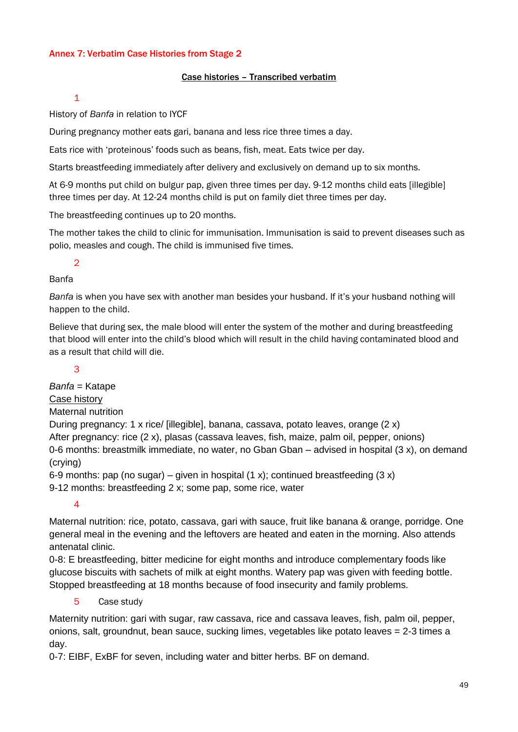# Annex 7: Verbatim Case Histories from Stage 2

# Case histories – Transcribed verbatim

#### 1

History of *Banfa* in relation to IYCF

During pregnancy mother eats gari, banana and less rice three times a day.

Eats rice with 'proteinous' foods such as beans, fish, meat. Eats twice per day.

Starts breastfeeding immediately after delivery and exclusively on demand up to six months.

At 6-9 months put child on bulgur pap, given three times per day. 9-12 months child eats [illegible] three times per day. At 12-24 months child is put on family diet three times per day.

The breastfeeding continues up to 20 months.

The mother takes the child to clinic for immunisation. Immunisation is said to prevent diseases such as polio, measles and cough. The child is immunised five times.

# 2

# Banfa

*Banfa* is when you have sex with another man besides your husband. If it's your husband nothing will happen to the child.

Believe that during sex, the male blood will enter the system of the mother and during breastfeeding that blood will enter into the child's blood which will result in the child having contaminated blood and as a result that child will die.

# 3

*Banfa* = Katape Case history Maternal nutrition During pregnancy: 1 x rice/ [illegible], banana, cassava, potato leaves, orange (2 x) After pregnancy: rice (2 x), plasas (cassava leaves, fish, maize, palm oil, pepper, onions) 0-6 months: breastmilk immediate, no water, no Gban Gban – advised in hospital (3 x), on demand (crying)

6-9 months: pap (no sugar) – given in hospital  $(1 x)$ ; continued breastfeeding  $(3 x)$ 9-12 months: breastfeeding 2 x; some pap, some rice, water

4

Maternal nutrition: rice, potato, cassava, gari with sauce, fruit like banana & orange, porridge. One general meal in the evening and the leftovers are heated and eaten in the morning. Also attends antenatal clinic.

0-8: E breastfeeding, bitter medicine for eight months and introduce complementary foods like glucose biscuits with sachets of milk at eight months. Watery pap was given with feeding bottle. Stopped breastfeeding at 18 months because of food insecurity and family problems.

# 5 Case study

Maternity nutrition: gari with sugar, raw cassava, rice and cassava leaves, fish, palm oil, pepper, onions, salt, groundnut, bean sauce, sucking limes, vegetables like potato leaves = 2-3 times a day.

0-7: EIBF, ExBF for seven, including water and bitter herbs. BF on demand.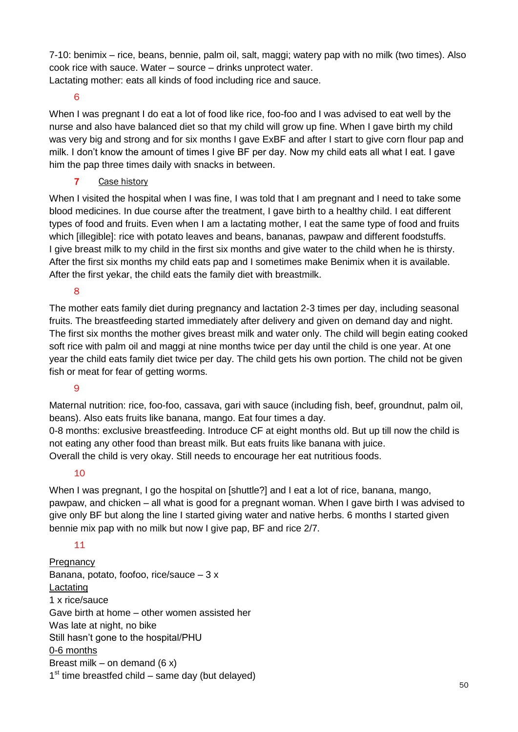7-10: benimix – rice, beans, bennie, palm oil, salt, maggi; watery pap with no milk (two times). Also cook rice with sauce. Water – source – drinks unprotect water. Lactating mother: eats all kinds of food including rice and sauce.

6

When I was pregnant I do eat a lot of food like rice, foo-foo and I was advised to eat well by the nurse and also have balanced diet so that my child will grow up fine. When I gave birth my child was very big and strong and for six months I gave ExBF and after I start to give corn flour pap and milk. I don't know the amount of times I give BF per day. Now my child eats all what I eat. I gave him the pap three times daily with snacks in between.

7 Case history

When I visited the hospital when I was fine, I was told that I am pregnant and I need to take some blood medicines. In due course after the treatment, I gave birth to a healthy child. I eat different types of food and fruits. Even when I am a lactating mother, I eat the same type of food and fruits which [illegible]: rice with potato leaves and beans, bananas, pawpaw and different foodstuffs. I give breast milk to my child in the first six months and give water to the child when he is thirsty. After the first six months my child eats pap and I sometimes make Benimix when it is available. After the first yekar, the child eats the family diet with breastmilk.

8

The mother eats family diet during pregnancy and lactation 2-3 times per day, including seasonal fruits. The breastfeeding started immediately after delivery and given on demand day and night. The first six months the mother gives breast milk and water only. The child will begin eating cooked soft rice with palm oil and maggi at nine months twice per day until the child is one year. At one year the child eats family diet twice per day. The child gets his own portion. The child not be given fish or meat for fear of getting worms.

# 9

Maternal nutrition: rice, foo-foo, cassava, gari with sauce (including fish, beef, groundnut, palm oil, beans). Also eats fruits like banana, mango. Eat four times a day.

0-8 months: exclusive breastfeeding. Introduce CF at eight months old. But up till now the child is not eating any other food than breast milk. But eats fruits like banana with juice. Overall the child is very okay. Still needs to encourage her eat nutritious foods.

# 10

When I was pregnant, I go the hospital on [shuttle?] and I eat a lot of rice, banana, mango, pawpaw, and chicken – all what is good for a pregnant woman. When I gave birth I was advised to give only BF but along the line I started giving water and native herbs. 6 months I started given bennie mix pap with no milk but now I give pap. BF and rice 2/7.

# 11

**Pregnancy** Banana, potato, foofoo, rice/sauce – 3 x Lactating 1 x rice/sauce Gave birth at home – other women assisted her Was late at night, no bike Still hasn't gone to the hospital/PHU 0-6 months Breast milk – on demand  $(6 x)$ 1<sup>st</sup> time breastfed child – same day (but delayed)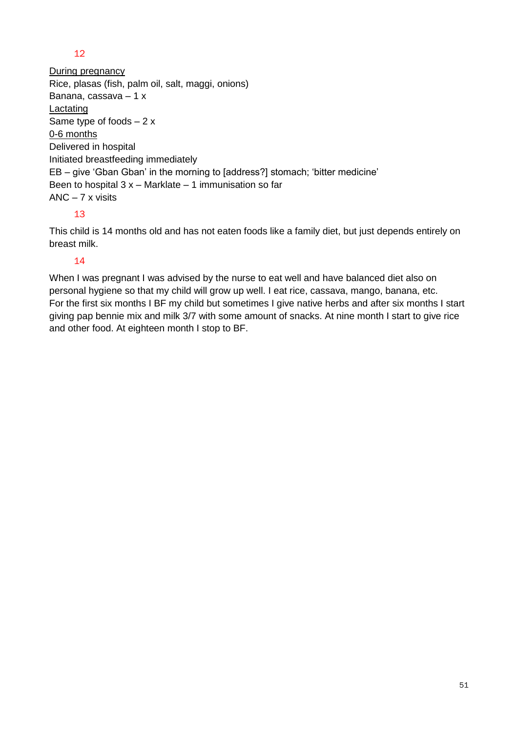# 12

During pregnancy Rice, plasas (fish, palm oil, salt, maggi, onions) Banana, cassava – 1 x **Lactating** Same type of foods  $-2x$ 0-6 months Delivered in hospital Initiated breastfeeding immediately EB – give 'Gban Gban' in the morning to [address?] stomach; 'bitter medicine' Been to hospital  $3x -$  Marklate  $-1$  immunisation so far ANC – 7 x visits

# 13

This child is 14 months old and has not eaten foods like a family diet, but just depends entirely on breast milk.

# 14

When I was pregnant I was advised by the nurse to eat well and have balanced diet also on personal hygiene so that my child will grow up well. I eat rice, cassava, mango, banana, etc. For the first six months I BF my child but sometimes I give native herbs and after six months I start giving pap bennie mix and milk 3/7 with some amount of snacks. At nine month I start to give rice and other food. At eighteen month I stop to BF.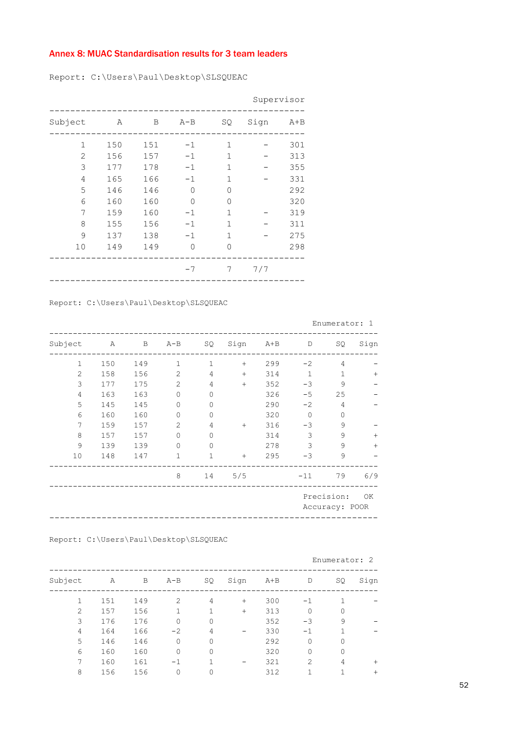# Annex 8: MUAC Standardisation results for 3 team leaders

Report: C:\Users\Paul\Desktop\SLSQUEAC

|                |     |     |          |               |      | Supervisor |
|----------------|-----|-----|----------|---------------|------|------------|
| Subject        | Α   | В   | $A - B$  | SQ            | Sign | $A + B$    |
| 1              | 150 | 151 | $-1$     | $\mathbf{1}$  |      | 301        |
| $\overline{2}$ | 156 | 157 | $-1$     | 1             |      | 313        |
| 3              | 177 | 178 | $-1$     | $\mathbf{1}$  |      | 355        |
| 4              | 165 | 166 | $-1$     | 1             |      | 331        |
| 5              | 146 | 146 | 0        | $\Omega$      |      | 292        |
| 6              | 160 | 160 | $\Omega$ | $\Omega$      |      | 320        |
| 7              | 159 | 160 | $-1$     | $\mathbf{1}$  |      | 319        |
| 8              | 155 | 156 | $-1$     | $\mathbf{1}$  |      | 311        |
| 9              | 137 | 138 | $-1$     | $\mathbf{1}$  |      | 275        |
| 10             | 149 | 149 | $\circ$  | $\mathcal{O}$ |      | 298        |
|                |     |     | $-7$     | 7             | 7/7  |            |
|                |     |     |          |               |      |            |

Report: C:\Users\Paul\Desktop\SLSQUEAC

|                |              |              |                |              |      |         |              | Enumerator: 1                |      |
|----------------|--------------|--------------|----------------|--------------|------|---------|--------------|------------------------------|------|
| Subject        | $\mathbb{A}$ | $\, {\bf B}$ | $A - B$        | SQ           | Sign | $A + B$ | $\mathbb D$  | SQ                           | Sign |
| $\mathbf{1}$   | 150          | 149          | $\mathbf{1}$   | $\mathbf{1}$ | $+$  | 299     | $-2$         | 4                            |      |
| $\mathbf{2}$   | 158          | 156          | 2              | 4            | $+$  | 314     | 1            | $\mathbf 1$                  | $+$  |
| 3              | 177          | 175          | $\overline{2}$ | 4            | $+$  | 352     | $-3$         | 9                            |      |
| $\overline{4}$ | 163          | 163          | $\overline{0}$ | $\mathbf{0}$ |      | 326     | $-5$         | 25                           |      |
| 5              | 145          | 145          | 0              | $\mathbf 0$  |      | 290     | $-2$         | $\overline{4}$               |      |
| 6              | 160          | 160          | 0              | $\mathbf{0}$ |      | 320     | $\mathbf{0}$ | $\circ$                      |      |
| 7              | 159          | 157          | $\overline{2}$ | 4            | $+$  | 316     | $-3$         | 9                            |      |
| 8              | 157          | 157          | $\Omega$       | $\Omega$     |      | 314     | 3            | 9                            | $+$  |
| 9              | 139          | 139          | $\Omega$       | $\Omega$     |      | 278     | 3            | 9                            | $+$  |
| 10             | 148          | 147          | $\mathbf 1$    | $\mathbf{1}$ | $+$  | 295     | $-3$         | 9                            |      |
|                |              |              | 8              | 14           | 5/5  |         | $-11$        | 79                           | 6/9  |
|                |              |              |                |              |      |         |              | Precision:<br>Accuracy: POOR | OK   |

Report: C:\Users\Paul\Desktop\SLSQUEAC

|                |     |     |              |    |      |       |                | Enumerator: 2 |        |
|----------------|-----|-----|--------------|----|------|-------|----------------|---------------|--------|
| Subject        | Α   | B   | $A - B$      | SQ | Sign | $A+B$ | D              | SQ            | Sign   |
| $\mathbf{1}$   | 151 | 149 | 2            | 4  | $+$  | 300   | $-1$           |               |        |
| $\mathfrak{D}$ | 157 | 156 |              |    | $+$  | 313   | 0              | 0             |        |
| 3              | 176 | 176 | $\mathbf{0}$ | 0  |      | 352   | -3             | 9             |        |
| 4              | 164 | 166 | $-2$         | 4  |      | 330   | -1             | 1             |        |
| 5              | 146 | 146 | $\Omega$     | 0  |      | 292   | 0              | 0             |        |
| 6              | 160 | 160 | $\Omega$     | 0  |      | 320   | 0              | $\Omega$      |        |
| 7              | 160 | 161 | $-1$         |    |      | 321   | $\overline{2}$ | 4             | $^{+}$ |
| 8              | 156 | 156 | 0            | 0  |      | 312   | п              |               | $^+$   |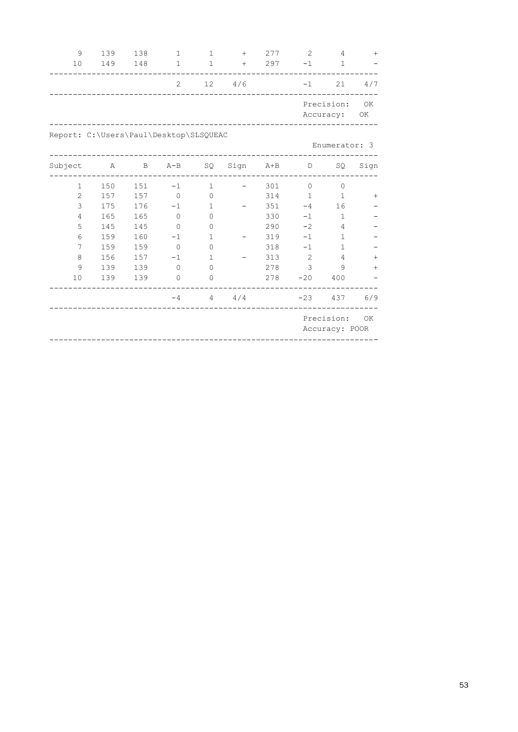| 9              | 139                                    | 138          | $\mathbf{1}$ | $\mathbf 1$  | $+$  | 277     | 2            | 4                       | $+$      |
|----------------|----------------------------------------|--------------|--------------|--------------|------|---------|--------------|-------------------------|----------|
| 10             | 149                                    | 148          | $\mathbf{1}$ | $\mathbf 1$  | $+$  | 297     | $-1$         | $\mathbf{1}$            |          |
|                |                                        |              | 2            | 12           | 4/6  |         | $-1$         | 21                      | 4/7      |
|                |                                        |              |              |              |      |         |              | Precision:<br>Accuracy: | OK<br>ОK |
|                | Report: C:\Users\Paul\Desktop\SLSQUEAC |              |              |              |      |         |              |                         |          |
|                |                                        |              |              |              |      |         |              | Enumerator: 3           |          |
| Subject        | Α                                      | $\, {\bf B}$ | $A - B$      | SQ           | Sign | $A + B$ | D            | SQ                      | Sign     |
| 1              | 150                                    | 151          | $-1$         | $\mathbf 1$  |      | 301     | $\circ$      | $\mathbf{0}$            |          |
| $\overline{c}$ | 157                                    | 157          | $\circ$      | $\Omega$     |      | 314     | $\mathbf{1}$ | $\mathbf{1}$            | $^{+}$   |
| 3              | 175                                    | 176          | $-1$         | $\mathbf{1}$ |      | 351     | $-4$         | 16                      |          |
| 4              | 165                                    | 165          | $\mathbf{0}$ | $\mathbf{0}$ |      | 330     | $-1$         | $\mathbf{1}$            |          |
| 5              | 145                                    | 145          | $\Omega$     | 0            |      | 290     | $-2$         | 4                       |          |
| 6              | 159                                    | 160          | $-1$         | $\mathbf{1}$ |      | 319     | $-1$         | 1                       |          |
| 7              | 159                                    | 159          | $\mathbf{0}$ | 0            |      | 318     | $-1$         | $\mathbf 1$             |          |
| 8              | 156                                    | 157          | $-1$         | $\mathbf{1}$ |      | 313     | $\mathbf{2}$ | 4                       | $\! +$   |
| 9              | 139                                    | 139          | $\mathbf{0}$ | 0            |      | 278     | 3            | 9                       | $^{+}$   |
| 10             | 139                                    | 139          | $\mathbf{0}$ | $\mathbf{0}$ |      | 278     | $-20$        | 400                     |          |
|                |                                        |              | $-4$         | 4            | 4/4  |         | $-23$        | 437                     | 6/9      |
|                |                                        |              |              |              |      |         |              | Precision:              | OK       |
|                |                                        |              |              |              |      |         |              | Accuracy: POOR          |          |

----------------------------------------------------------------------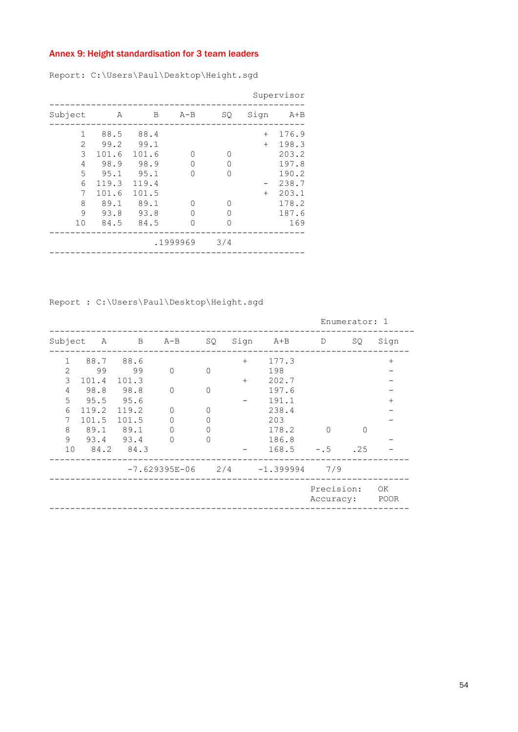# Annex 9: Height standardisation for 3 team leaders

Report: C:\Users\Paul\Desktop\Height.sgd

|                                                 |                                                                                 |                                                                                 |                                        |                                   |                      | Supervisor                                                                           |
|-------------------------------------------------|---------------------------------------------------------------------------------|---------------------------------------------------------------------------------|----------------------------------------|-----------------------------------|----------------------|--------------------------------------------------------------------------------------|
| Subject                                         | Α                                                                               | В                                                                               | $A - B$                                | SQ.                               | Sign                 | $A + B$                                                                              |
| 1<br>2<br>3<br>4<br>5<br>6<br>7<br>8<br>9<br>10 | 88.5<br>99.2<br>101.6<br>98.9<br>95.1<br>119.3<br>101.6<br>89.1<br>93.8<br>84.5 | 88.4<br>99.1<br>101.6<br>98.9<br>95.1<br>119.4<br>101.5<br>89.1<br>93.8<br>84.5 | U<br>0<br>∩<br>∩<br>U<br>U<br>.1999969 | 0<br>0<br>0<br>0<br>∩<br>0<br>3/4 | $+$<br>$+$<br>$^{+}$ | 176.9<br>198.3<br>203.2<br>197.8<br>190.2<br>238.7<br>203.1<br>178.2<br>187.6<br>169 |
|                                                 |                                                                                 |                                                                                 |                                        |                                   |                      |                                                                                      |

Report : C:\Users\Paul\Desktop\Height.sgd

|              |       |       |                   |             |      |              | Enumerator: 1           |     |            |
|--------------|-------|-------|-------------------|-------------|------|--------------|-------------------------|-----|------------|
| Subject      | A     | B     | $A - B$           | SQ.         | Sign | A+B          | D                       | SQ. | Sign       |
| $\mathbf{1}$ | 88.7  | 88.6  |                   |             | $+$  | 177.3        |                         |     | $^{+}$     |
| 2            | 99    | 99    | $\Omega$          | $\Omega$    |      | 198          |                         |     |            |
| 3            | 101.4 | 101.3 |                   |             | $+$  | 202.7        |                         |     |            |
| 4            | 98.8  | 98.8  | $\mathbf{0}$      | $\mathbf 0$ |      | 197.6        |                         |     |            |
| 5            | 95.5  | 95.6  |                   |             |      | 191.1        |                         |     | $^{+}$     |
| 6            | 119.2 | 119.2 | 0                 | 0           |      | 238.4        |                         |     |            |
| 7            | 101.5 | 101.5 | 0                 | 0           |      | 203          |                         |     |            |
| 8            | 89.1  | 89.1  | 0                 | 0           |      | 178.2        | $\Omega$                | ∩   |            |
| 9            | 93.4  | 93.4  | 0                 | $\Omega$    |      | 186.8        |                         |     |            |
| 10           | 84.2  | 84.3  |                   |             |      | 168.5        | $- 0.5$                 | .25 |            |
|              |       |       | $-7.629395E - 06$ | 2/4         |      | $-1.3999994$ | 7/9                     |     |            |
|              |       |       |                   |             |      |              | Precision:<br>Accuracy: |     | OK<br>POOR |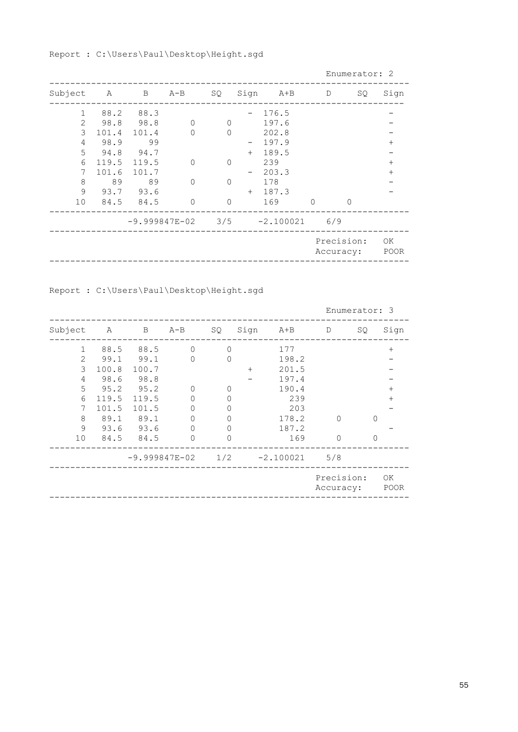Report : C:\Users\Paul\Desktop\Height.sgd

|                 |      |             |          |          |     |                                       |         | Enumerator: 2           |            |
|-----------------|------|-------------|----------|----------|-----|---------------------------------------|---------|-------------------------|------------|
| Subject         |      |             | A B A-B  | SQ       |     | Sign A+B D                            |         | SQ.                     | Sign       |
| $\mathbf{1}$    |      | 88.2 88.3   |          |          |     | 176.5                                 |         |                         |            |
| $\overline{2}$  | 98.8 | 98.8        | $\Omega$ | $\Omega$ |     | 197.6                                 |         |                         |            |
| 3               |      | 101.4 101.4 | $\Omega$ | $\cap$   |     | 202.8                                 |         |                         |            |
| 4               | 98.9 | 99          |          |          |     | 197.9                                 |         |                         | $^+$       |
| 5               | 94.8 | 94.7        |          |          | $+$ | 189.5                                 |         |                         |            |
| 6               |      | 119.5 119.5 | $\Omega$ | $\Omega$ |     | 239                                   |         |                         | $^{+}$     |
| 7               |      | 101.6 101.7 |          |          |     | 203.3                                 |         |                         | $^{+}$     |
| 8               | 89   | 89          | $\Omega$ | $\Omega$ |     | 178                                   |         |                         |            |
| 9               |      | 93.7 93.6   |          |          | $+$ | 187.3                                 |         |                         |            |
| 10 <sup>°</sup> |      | 84.5 84.5   | $\Omega$ | $\Omega$ |     | 169                                   | $\circ$ | $\Omega$                |            |
|                 |      |             |          |          |     | $-9.999847E-02$ $3/5$ $-2.100021$ 6/9 |         |                         |            |
|                 |      |             |          |          |     |                                       |         | Precision:<br>Accuracy: | OK<br>POOR |

Report : C:\Users\Paul\Desktop\Height.sgd

|                |       |       |               |          |      |             | Enumerator: 3           |     |            |
|----------------|-------|-------|---------------|----------|------|-------------|-------------------------|-----|------------|
| Subject        | Α     | В     | $A - B$       | SQ.      | Sign | $A+B$       | D                       | SQ. | Sign       |
| 1              | 88.5  | 88.5  | $\Omega$      | $\Omega$ |      | 177         |                         |     | $^{+}$     |
| $\mathfrak{D}$ | 99.1  | 99.1  | $\Omega$      | 0        |      | 198.2       |                         |     |            |
| 3              | 100.8 | 100.7 |               |          | $+$  | 201.5       |                         |     |            |
| 4              | 98.6  | 98.8  |               |          |      | 197.4       |                         |     |            |
| 5              | 95.2  | 95.2  | 0             | 0        |      | 190.4       |                         |     | $^{+}$     |
| 6              | 119.5 | 119.5 | $\Omega$      | 0        |      | 239         |                         |     | $^+$       |
| 7              | 101.5 | 101.5 | 0             | Ω        |      | 203         |                         |     |            |
| 8              | 89.1  | 89.1  | 0             |          |      | 178.2       | 0                       | ∩   |            |
| 9              | 93.6  | 93.6  | 0             | Λ        |      | 187.2       |                         |     |            |
| 10             | 84.5  | 84.5  | $\Omega$      | 0        |      | 169         | $\Omega$                | 0   |            |
|                |       |       | -9.999847E-02 | 1/2      |      | $-2.100021$ | 5/8                     |     |            |
|                |       |       |               |          |      |             | Precision:<br>Accuracy: |     | ΟK<br>POOR |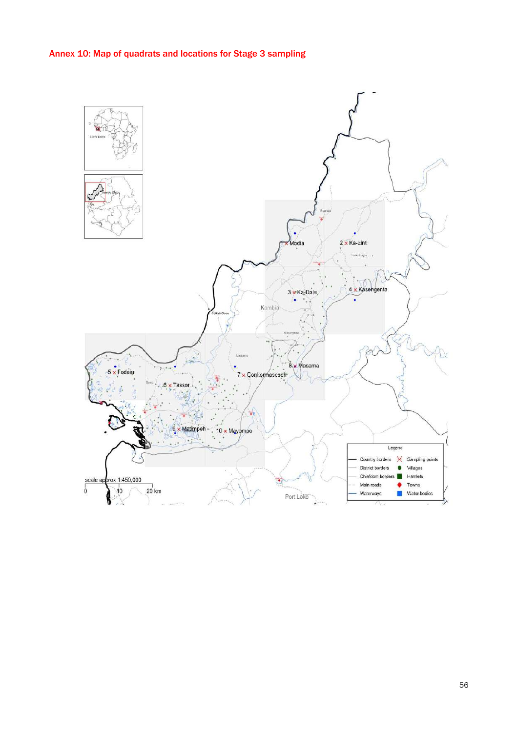# Annex 10: Map of quadrats and locations for Stage 3 sampling

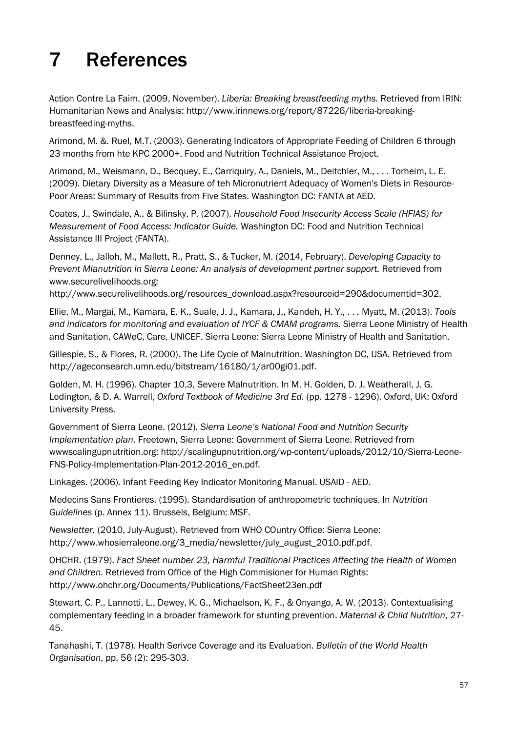# <span id="page-64-0"></span>7 References

Action Contre La Faim. (2009, November). *Liberia: Breaking breastfeeding myths.* Retrieved from IRIN: Humanitarian News and Analysis: http://www.irinnews.org/report/87226/liberia-breakingbreastfeeding-myths.

Arimond, M. &. Ruel, M.T. (2003). Generating Indicators of Appropriate Feeding of Children 6 through 23 months from hte KPC 2000+. Food and Nutrition Technical Assistance Project.

Arimond, M., Weismann, D., Becquey, E., Carriquiry, A., Daniels, M., Deitchler, M., . . . Torheim, L. E. (2009). Dietary Diversity as a Measure of teh Micronutrient Adequacy of Women's Diets in Resource-Poor Areas: Summary of Results from Five States. Washington DC: FANTA at AED.

Coates, J., Swindale, A., & Bilinsky, P. (2007). *Household Food Insecurity Access Scale (HFIAS) for Measurement of Food Access: Indicator Guide.* Washington DC: Food and Nutrition Technical Assistance III Project (FANTA).

Denney, L., Jalloh, M., Mallett, R., Pratt, S., & Tucker, M. (2014, February). *Developing Capacity to Prevent Mlanutrition in Sierra Leone: An analysis of development partner support.* Retrieved from www.securelivelihoods.org:

http://www.securelivelihoods.org/resources\_download.aspx?resourceid=290&documentid=302.

Ellie, M., Margai, M., Kamara, E. K., Suale, J. J., Kamara, J., Kandeh, H. Y., . . . Myatt, M. (2013). *Tools and indicators for monitoring and evaluation of IYCF & CMAM programs.* Sierra Leone Ministry of Health and Sanitation, CAWeC, Care, UNICEF. Sierra Leone: Sierra Leone Ministry of Health and Sanitation.

Gillespie, S., & Flores, R. (2000). The Life Cycle of Malnutrition. Washington DC, USA. Retrieved from http://ageconsearch.umn.edu/bitstream/16180/1/ar00gi01.pdf.

Golden, M. H. (1996). Chapter 10.3, Severe Malnutrition. In M. H. Golden, D. J. Weatherall, J. G. Ledington, & D. A. Warrell, *Oxford Textbook of Medicine 3rd Ed.* (pp. 1278 - 1296). Oxford, UK: Oxford University Press.

Government of Sierra Leone. (2012). *Sierra Leone's National Food and Nutrition Security Implementation plan*. Freetown, Sierra Leone: Government of Sierra Leone. Retrieved from wwwscalingupnutrition.org: http://scalingupnutrition.org/wp-content/uploads/2012/10/Sierra-Leone-FNS-Policy-Implementation-Plan-2012-2016\_en.pdf.

Linkages. (2006). Infant Feeding Key Indicator Monitoring Manual. USAID - AED.

Medecins Sans Frontieres. (1995). Standardisation of anthropometric techniques. In *Nutrition Guidelines* (p. Annex 11). Brussels, Belgium: MSF.

*Newsletter.* (2010, July-August). Retrieved from WHO COuntry Office: Sierra Leone: http://www.whosierraleone.org/3\_media/newsletter/july\_august\_2010.pdf.pdf.

OHCHR. (1979). *Fact Sheet number 23, Harmful Traditional Practices Affecting the Health of Women and Children.* Retrieved from Office of the High Commisioner for Human Rights: http://www.ohchr.org/Documents/Publications/FactSheet23en.pdf

Stewart, C. P., Lannotti, L., Dewey, K. G., Michaelson, K. F., & Onyango, A. W. (2013). Contextualising complementary feeding in a broader framework for stunting prevention. *Maternal & Child Nutrition*, 27- 45.

Tanahashi, T. (1978). Health Serivce Coverage and its Evaluation. *Bulletin of the World Health Organisation*, pp. 56 (2): 295-303.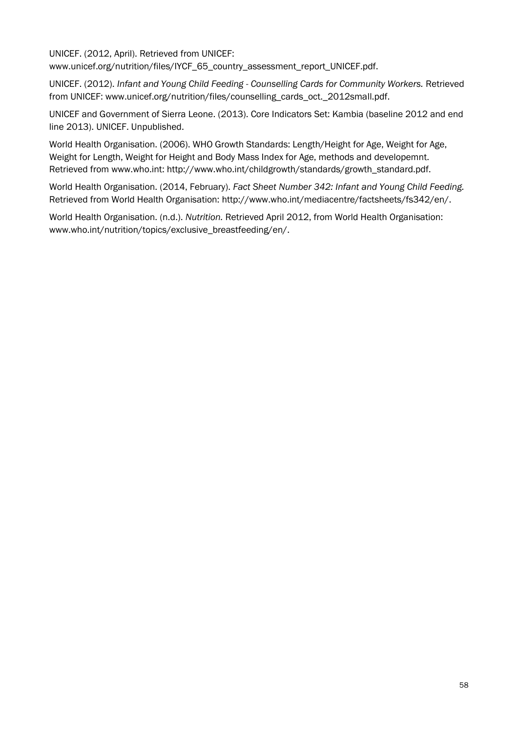UNICEF. (2012, April). Retrieved from UNICEF: www.unicef.org/nutrition/files/IYCF\_65\_country\_assessment\_report\_UNICEF.pdf.

UNICEF. (2012). *Infant and Young Child Feeding - Counselling Cards for Community Workers.* Retrieved from UNICEF: www.unicef.org/nutrition/files/counselling\_cards\_oct.\_2012small.pdf.

UNICEF and Government of Sierra Leone. (2013). Core Indicators Set: Kambia (baseline 2012 and end line 2013). UNICEF. Unpublished.

World Health Organisation. (2006). WHO Growth Standards: Length/Height for Age, Weight for Age, Weight for Length, Weight for Height and Body Mass Index for Age, methods and developemnt. Retrieved from www.who.int: http://www.who.int/childgrowth/standards/growth\_standard.pdf.

World Health Organisation. (2014, February). *Fact Sheet Number 342: Infant and Young Child Feeding.* Retrieved from World Health Organisation: http://www.who.int/mediacentre/factsheets/fs342/en/.

World Health Organisation. (n.d.). *Nutrition.* Retrieved April 2012, from World Health Organisation: www.who.int/nutrition/topics/exclusive\_breastfeeding/en/.